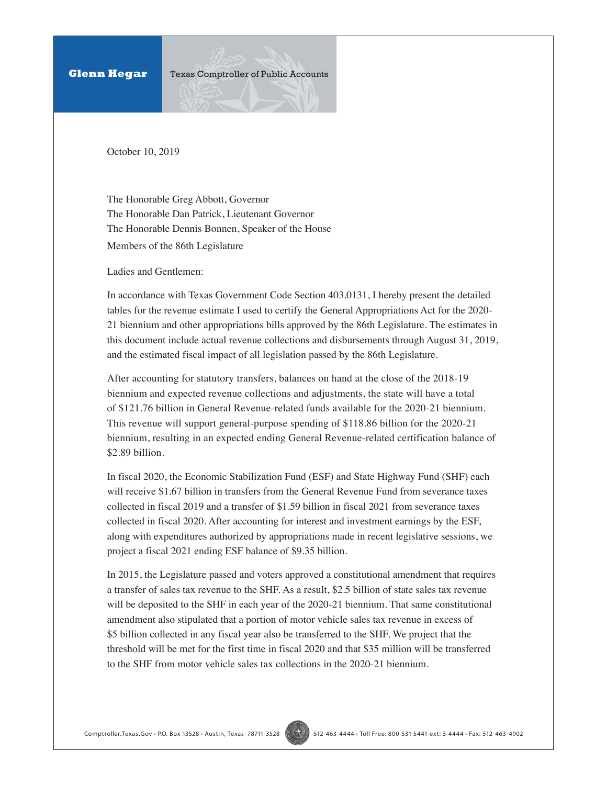**Glenn Hegar Texas Comptroller of Public Accounts** 

October 10, 2019

The Honorable Greg Abbott, Governor The Honorable Dan Patrick, Lieutenant Governor The Honorable Dennis Bonnen, Speaker of the House Members of the 86th Legislature

Ladies and Gentlemen:

In accordance with Texas Government Code Section 403.0131, I hereby present the detailed tables for the revenue estimate I used to certify the General Appropriations Act for the 2020- 21 biennium and other appropriations bills approved by the 86th Legislature. The estimates in this document include actual revenue collections and disbursements through August 31, 2019, and the estimated fiscal impact of all legislation passed by the 86th Legislature.

After accounting for statutory transfers, balances on hand at the close of the 2018-19 biennium and expected revenue collections and adjustments, the state will have a total of \$121.76 billion in General Revenue-related funds available for the 2020-21 biennium. This revenue will support general-purpose spending of \$118.86 billion for the 2020-21 biennium, resulting in an expected ending General Revenue-related certification balance of \$2.89 billion.

In fiscal 2020, the Economic Stabilization Fund (ESF) and State Highway Fund (SHF) each will receive \$1.67 billion in transfers from the General Revenue Fund from severance taxes collected in fiscal 2019 and a transfer of \$1.59 billion in fiscal 2021 from severance taxes collected in fiscal 2020. After accounting for interest and investment earnings by the ESF, along with expenditures authorized by appropriations made in recent legislative sessions, we project a fiscal 2021 ending ESF balance of \$9.35 billion.

In 2015, the Legislature passed and voters approved a constitutional amendment that requires a transfer of sales tax revenue to the SHF. As a result, \$2.5 billion of state sales tax revenue will be deposited to the SHF in each year of the 2020-21 biennium. That same constitutional amendment also stipulated that a portion of motor vehicle sales tax revenue in excess of \$5 billion collected in any fiscal year also be transferred to the SHF. We project that the threshold will be met for the first time in fiscal 2020 and that \$35 million will be transferred to the SHF from motor vehicle sales tax collections in the 2020-21 biennium.

Comptroller**.**Texas**.**Gov • P.O. Box 13528 • Austin, Texas 78711-3528 512-463-4444 • Toll Free: 800-531-5441 ext: 3-4444 • Fax: 512-463-4902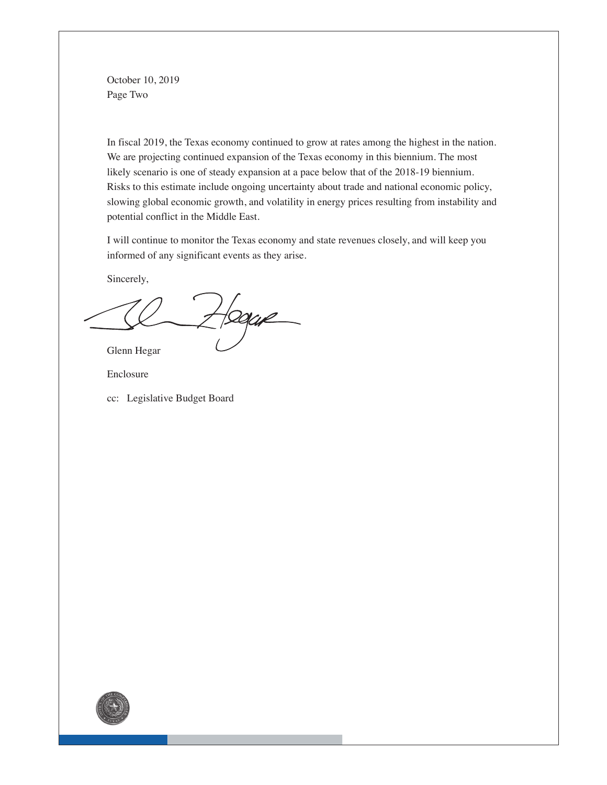October 10, 2019 Page Two

In fiscal 2019, the Texas economy continued to grow at rates among the highest in the nation. We are projecting continued expansion of the Texas economy in this biennium. The most likely scenario is one of steady expansion at a pace below that of the 2018-19 biennium. Risks to this estimate include ongoing uncertainty about trade and national economic policy, slowing global economic growth, and volatility in energy prices resulting from instability and potential conflict in the Middle East.

I will continue to monitor the Texas economy and state revenues closely, and will keep you informed of any significant events as they arise.

Sincerely,

 $H$ segene

Glenn Hegar

Enclosure

cc: Legislative Budget Board

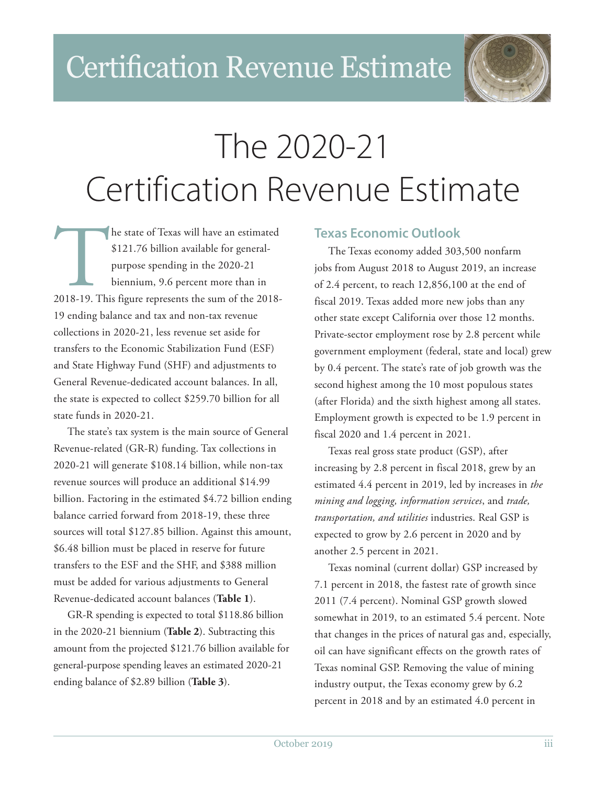

# The 2020-21 Certification Revenue Estimate

he state of Texas will have an estimated<br>
\$121.76 billion available for general-<br>
purpose spending in the 2020-21<br>
biennium, 9.6 percent more than in<br>
2018-19. This figure represents the sum of the 2018-\$121.76 billion available for generalpurpose spending in the 2020-21 biennium, 9.6 percent more than in 19 ending balance and tax and non-tax revenue collections in 2020-21, less revenue set aside for transfers to the Economic Stabilization Fund (ESF) and State Highway Fund (SHF) and adjustments to General Revenue-dedicated account balances. In all, the state is expected to collect \$259.70 billion for all state funds in 2020-21.

The state's tax system is the main source of General Revenue-related (GR-R) funding. Tax collections in 2020-21 will generate \$108.14 billion, while non-tax revenue sources will produce an additional \$14.99 billion. Factoring in the estimated \$4.72 billion ending balance carried forward from 2018-19, these three sources will total \$127.85 billion. Against this amount, \$6.48 billion must be placed in reserve for future transfers to the ESF and the SHF, and \$388 million must be added for various adjustments to General Revenue-dedicated account balances (**Table 1**).

GR-R spending is expected to total \$118.86 billion in the 2020-21 biennium (**Table 2**). Subtracting this amount from the projected \$121.76 billion available for general-purpose spending leaves an estimated 2020-21 ending balance of \$2.89 billion (**Table 3**).

## **Texas Economic Outlook**

The Texas economy added 303,500 nonfarm jobs from August 2018 to August 2019, an increase of 2.4 percent, to reach 12,856,100 at the end of fiscal 2019. Texas added more new jobs than any other state except California over those 12 months. Private-sector employment rose by 2.8 percent while government employment (federal, state and local) grew by 0.4 percent. The state's rate of job growth was the second highest among the 10 most populous states (after Florida) and the sixth highest among all states. Employment growth is expected to be 1.9 percent in fiscal 2020 and 1.4 percent in 2021.

Texas real gross state product (GSP), after increasing by 2.8 percent in fiscal 2018, grew by an estimated 4.4 percent in 2019, led by increases in *the mining and logging, information services*, and *trade, transportation, and utilities* industries. Real GSP is expected to grow by 2.6 percent in 2020 and by another 2.5 percent in 2021.

Texas nominal (current dollar) GSP increased by 7.1 percent in 2018, the fastest rate of growth since 2011 (7.4 percent). Nominal GSP growth slowed somewhat in 2019, to an estimated 5.4 percent. Note that changes in the prices of natural gas and, especially, oil can have significant effects on the growth rates of Texas nominal GSP. Removing the value of mining industry output, the Texas economy grew by 6.2 percent in 2018 and by an estimated 4.0 percent in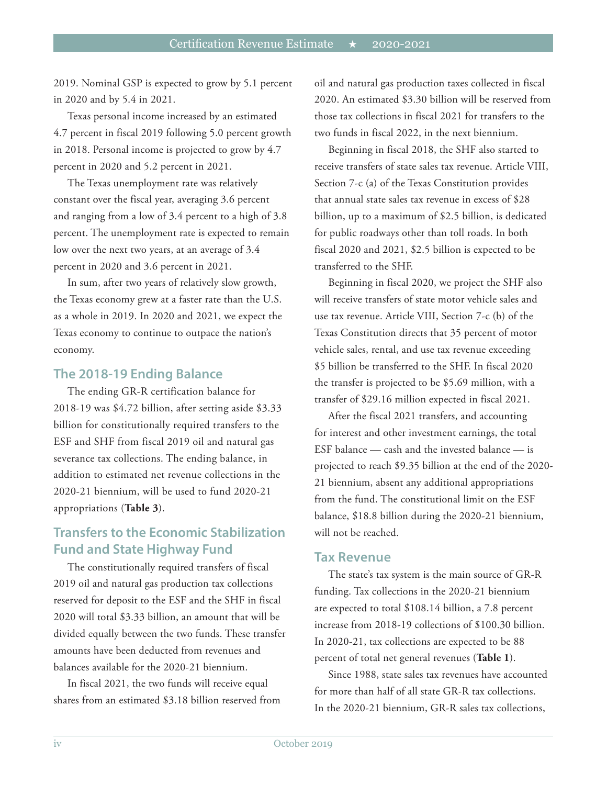2019. Nominal GSP is expected to grow by 5.1 percent in 2020 and by 5.4 in 2021.

Texas personal income increased by an estimated 4.7 percent in fiscal 2019 following 5.0 percent growth in 2018. Personal income is projected to grow by 4.7 percent in 2020 and 5.2 percent in 2021.

The Texas unemployment rate was relatively constant over the fiscal year, averaging 3.6 percent and ranging from a low of 3.4 percent to a high of 3.8 percent. The unemployment rate is expected to remain low over the next two years, at an average of 3.4 percent in 2020 and 3.6 percent in 2021.

In sum, after two years of relatively slow growth, the Texas economy grew at a faster rate than the U.S. as a whole in 2019. In 2020 and 2021, we expect the Texas economy to continue to outpace the nation's economy.

#### **The 2018-19 Ending Balance**

The ending GR-R certification balance for 2018-19 was \$4.72 billion, after setting aside \$3.33 billion for constitutionally required transfers to the ESF and SHF from fiscal 2019 oil and natural gas severance tax collections. The ending balance, in addition to estimated net revenue collections in the 2020-21 biennium, will be used to fund 2020-21 appropriations (**Table 3**).

# **Transfers to the Economic Stabilization Fund and State Highway Fund**

The constitutionally required transfers of fiscal 2019 oil and natural gas production tax collections reserved for deposit to the ESF and the SHF in fiscal 2020 will total \$3.33 billion, an amount that will be divided equally between the two funds. These transfer amounts have been deducted from revenues and balances available for the 2020-21 biennium.

In fiscal 2021, the two funds will receive equal shares from an estimated \$3.18 billion reserved from oil and natural gas production taxes collected in fiscal 2020. An estimated \$3.30 billion will be reserved from those tax collections in fiscal 2021 for transfers to the two funds in fiscal 2022, in the next biennium.

Beginning in fiscal 2018, the SHF also started to receive transfers of state sales tax revenue. Article VIII, Section 7-c (a) of the Texas Constitution provides that annual state sales tax revenue in excess of \$28 billion, up to a maximum of \$2.5 billion, is dedicated for public roadways other than toll roads. In both fiscal 2020 and 2021, \$2.5 billion is expected to be transferred to the SHF.

Beginning in fiscal 2020, we project the SHF also will receive transfers of state motor vehicle sales and use tax revenue. Article VIII, Section 7-c (b) of the Texas Constitution directs that 35 percent of motor vehicle sales, rental, and use tax revenue exceeding \$5 billion be transferred to the SHF. In fiscal 2020 the transfer is projected to be \$5.69 million, with a transfer of \$29.16 million expected in fiscal 2021.

After the fiscal 2021 transfers, and accounting for interest and other investment earnings, the total ESF balance — cash and the invested balance — is projected to reach \$9.35 billion at the end of the 2020- 21 biennium, absent any additional appropriations from the fund. The constitutional limit on the ESF balance, \$18.8 billion during the 2020-21 biennium, will not be reached.

#### **Tax Revenue**

The state's tax system is the main source of GR-R funding. Tax collections in the 2020-21 biennium are expected to total \$108.14 billion, a 7.8 percent increase from 2018-19 collections of \$100.30 billion. In 2020-21, tax collections are expected to be 88 percent of total net general revenues (**Table 1**).

Since 1988, state sales tax revenues have accounted for more than half of all state GR-R tax collections. In the 2020-21 biennium, GR-R sales tax collections,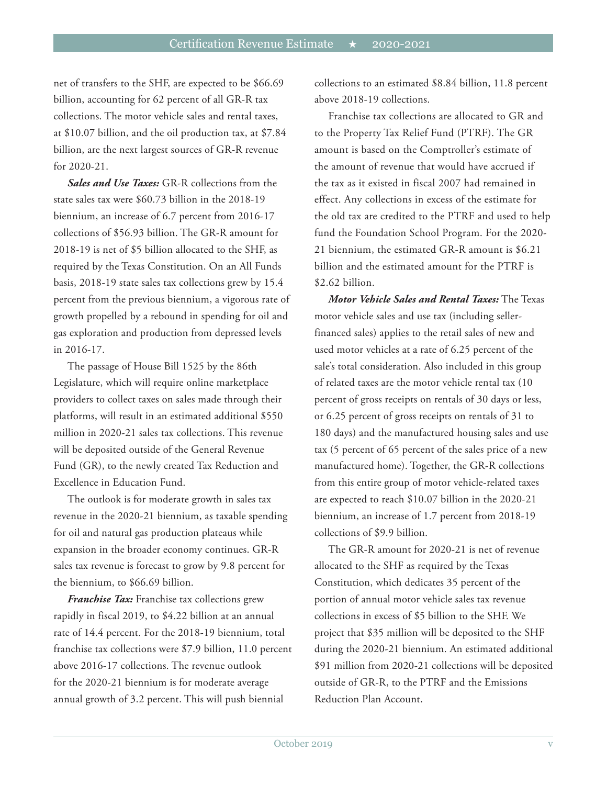net of transfers to the SHF, are expected to be \$66.69 billion, accounting for 62 percent of all GR-R tax collections. The motor vehicle sales and rental taxes, at \$10.07 billion, and the oil production tax, at \$7.84 billion, are the next largest sources of GR-R revenue for 2020-21.

*Sales and Use Taxes:* GR-R collections from the state sales tax were \$60.73 billion in the 2018-19 biennium, an increase of 6.7 percent from 2016-17 collections of \$56.93 billion. The GR-R amount for 2018-19 is net of \$5 billion allocated to the SHF, as required by the Texas Constitution. On an All Funds basis, 2018-19 state sales tax collections grew by 15.4 percent from the previous biennium, a vigorous rate of growth propelled by a rebound in spending for oil and gas exploration and production from depressed levels in 2016-17.

The passage of House Bill 1525 by the 86th Legislature, which will require online marketplace providers to collect taxes on sales made through their platforms, will result in an estimated additional \$550 million in 2020-21 sales tax collections. This revenue will be deposited outside of the General Revenue Fund (GR), to the newly created Tax Reduction and Excellence in Education Fund.

The outlook is for moderate growth in sales tax revenue in the 2020-21 biennium, as taxable spending for oil and natural gas production plateaus while expansion in the broader economy continues. GR-R sales tax revenue is forecast to grow by 9.8 percent for the biennium, to \$66.69 billion.

*Franchise Tax:* Franchise tax collections grew rapidly in fiscal 2019, to \$4.22 billion at an annual rate of 14.4 percent. For the 2018-19 biennium, total franchise tax collections were \$7.9 billion, 11.0 percent above 2016-17 collections. The revenue outlook for the 2020-21 biennium is for moderate average annual growth of 3.2 percent. This will push biennial

collections to an estimated \$8.84 billion, 11.8 percent above 2018-19 collections.

Franchise tax collections are allocated to GR and to the Property Tax Relief Fund (PTRF). The GR amount is based on the Comptroller's estimate of the amount of revenue that would have accrued if the tax as it existed in fiscal 2007 had remained in effect. Any collections in excess of the estimate for the old tax are credited to the PTRF and used to help fund the Foundation School Program. For the 2020- 21 biennium, the estimated GR-R amount is \$6.21 billion and the estimated amount for the PTRF is \$2.62 billion.

*Motor Vehicle Sales and Rental Taxes:* The Texas motor vehicle sales and use tax (including sellerfinanced sales) applies to the retail sales of new and used motor vehicles at a rate of 6.25 percent of the sale's total consideration. Also included in this group of related taxes are the motor vehicle rental tax (10 percent of gross receipts on rentals of 30 days or less, or 6.25 percent of gross receipts on rentals of 31 to 180 days) and the manufactured housing sales and use tax (5 percent of 65 percent of the sales price of a new manufactured home). Together, the GR-R collections from this entire group of motor vehicle-related taxes are expected to reach \$10.07 billion in the 2020-21 biennium, an increase of 1.7 percent from 2018-19 collections of \$9.9 billion.

The GR-R amount for 2020-21 is net of revenue allocated to the SHF as required by the Texas Constitution, which dedicates 35 percent of the portion of annual motor vehicle sales tax revenue collections in excess of \$5 billion to the SHF. We project that \$35 million will be deposited to the SHF during the 2020-21 biennium. An estimated additional \$91 million from 2020-21 collections will be deposited outside of GR-R, to the PTRF and the Emissions Reduction Plan Account.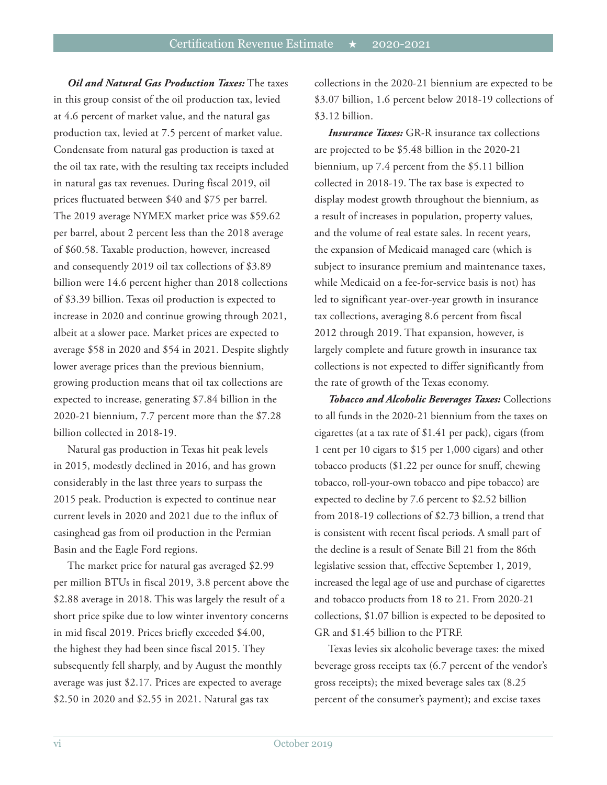*Oil and Natural Gas Production Taxes:* The taxes in this group consist of the oil production tax, levied at 4.6 percent of market value, and the natural gas production tax, levied at 7.5 percent of market value. Condensate from natural gas production is taxed at the oil tax rate, with the resulting tax receipts included in natural gas tax revenues. During fiscal 2019, oil prices fluctuated between \$40 and \$75 per barrel. The 2019 average NYMEX market price was \$59.62 per barrel, about 2 percent less than the 2018 average of \$60.58. Taxable production, however, increased and consequently 2019 oil tax collections of \$3.89 billion were 14.6 percent higher than 2018 collections of \$3.39 billion. Texas oil production is expected to increase in 2020 and continue growing through 2021, albeit at a slower pace. Market prices are expected to average \$58 in 2020 and \$54 in 2021. Despite slightly lower average prices than the previous biennium, growing production means that oil tax collections are expected to increase, generating \$7.84 billion in the 2020-21 biennium, 7.7 percent more than the \$7.28 billion collected in 2018-19.

Natural gas production in Texas hit peak levels in 2015, modestly declined in 2016, and has grown considerably in the last three years to surpass the 2015 peak. Production is expected to continue near current levels in 2020 and 2021 due to the influx of casinghead gas from oil production in the Permian Basin and the Eagle Ford regions.

The market price for natural gas averaged \$2.99 per million BTUs in fiscal 2019, 3.8 percent above the \$2.88 average in 2018. This was largely the result of a short price spike due to low winter inventory concerns in mid fiscal 2019. Prices briefly exceeded \$4.00, the highest they had been since fiscal 2015. They subsequently fell sharply, and by August the monthly average was just \$2.17. Prices are expected to average \$2.50 in 2020 and \$2.55 in 2021. Natural gas tax

collections in the 2020-21 biennium are expected to be \$3.07 billion, 1.6 percent below 2018-19 collections of \$3.12 billion.

*Insurance Taxes:* GR-R insurance tax collections are projected to be \$5.48 billion in the 2020-21 biennium, up 7.4 percent from the \$5.11 billion collected in 2018-19. The tax base is expected to display modest growth throughout the biennium, as a result of increases in population, property values, and the volume of real estate sales. In recent years, the expansion of Medicaid managed care (which is subject to insurance premium and maintenance taxes, while Medicaid on a fee-for-service basis is not) has led to significant year-over-year growth in insurance tax collections, averaging 8.6 percent from fiscal 2012 through 2019. That expansion, however, is largely complete and future growth in insurance tax collections is not expected to differ significantly from the rate of growth of the Texas economy.

*Tobacco and Alcoholic Beverages Taxes:* Collections to all funds in the 2020-21 biennium from the taxes on cigarettes (at a tax rate of \$1.41 per pack), cigars (from 1 cent per 10 cigars to \$15 per 1,000 cigars) and other tobacco products (\$1.22 per ounce for snuff, chewing tobacco, roll-your-own tobacco and pipe tobacco) are expected to decline by 7.6 percent to \$2.52 billion from 2018-19 collections of \$2.73 billion, a trend that is consistent with recent fiscal periods. A small part of the decline is a result of Senate Bill 21 from the 86th legislative session that, effective September 1, 2019, increased the legal age of use and purchase of cigarettes and tobacco products from 18 to 21. From 2020-21 collections, \$1.07 billion is expected to be deposited to GR and \$1.45 billion to the PTRF.

Texas levies six alcoholic beverage taxes: the mixed beverage gross receipts tax (6.7 percent of the vendor's gross receipts); the mixed beverage sales tax (8.25 percent of the consumer's payment); and excise taxes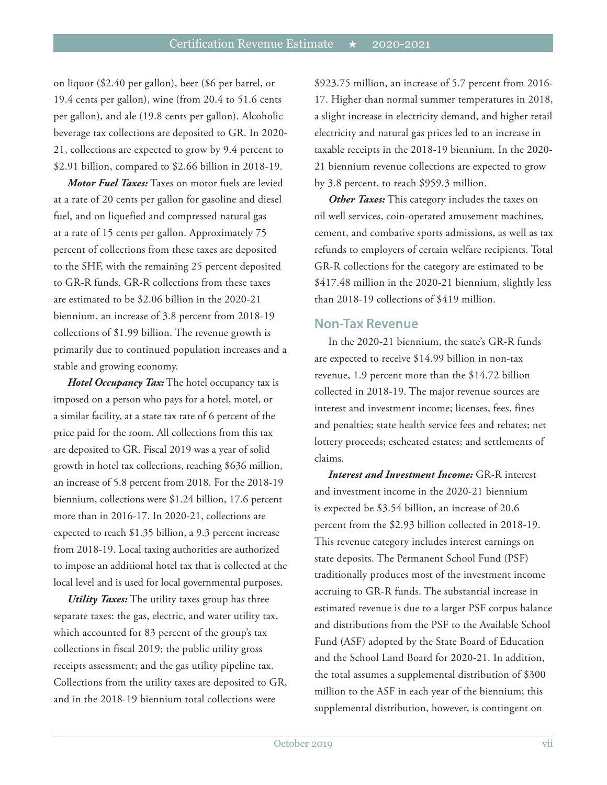on liquor (\$2.40 per gallon), beer (\$6 per barrel, or 19.4 cents per gallon), wine (from 20.4 to 51.6 cents per gallon), and ale (19.8 cents per gallon). Alcoholic beverage tax collections are deposited to GR. In 2020- 21, collections are expected to grow by 9.4 percent to \$2.91 billion, compared to \$2.66 billion in 2018-19.

*Motor Fuel Taxes:* Taxes on motor fuels are levied at a rate of 20 cents per gallon for gasoline and diesel fuel, and on liquefied and compressed natural gas at a rate of 15 cents per gallon. Approximately 75 percent of collections from these taxes are deposited to the SHF, with the remaining 25 percent deposited to GR-R funds. GR-R collections from these taxes are estimated to be \$2.06 billion in the 2020-21 biennium, an increase of 3.8 percent from 2018-19 collections of \$1.99 billion. The revenue growth is primarily due to continued population increases and a stable and growing economy.

*Hotel Occupancy Tax:* The hotel occupancy tax is imposed on a person who pays for a hotel, motel, or a similar facility, at a state tax rate of 6 percent of the price paid for the room. All collections from this tax are deposited to GR. Fiscal 2019 was a year of solid growth in hotel tax collections, reaching \$636 million, an increase of 5.8 percent from 2018. For the 2018-19 biennium, collections were \$1.24 billion, 17.6 percent more than in 2016-17. In 2020-21, collections are expected to reach \$1.35 billion, a 9.3 percent increase from 2018-19. Local taxing authorities are authorized to impose an additional hotel tax that is collected at the local level and is used for local governmental purposes.

*Utility Taxes:* The utility taxes group has three separate taxes: the gas, electric, and water utility tax, which accounted for 83 percent of the group's tax collections in fiscal 2019; the public utility gross receipts assessment; and the gas utility pipeline tax. Collections from the utility taxes are deposited to GR, and in the 2018-19 biennium total collections were

\$923.75 million, an increase of 5.7 percent from 2016- 17. Higher than normal summer temperatures in 2018, a slight increase in electricity demand, and higher retail electricity and natural gas prices led to an increase in taxable receipts in the 2018-19 biennium. In the 2020- 21 biennium revenue collections are expected to grow by 3.8 percent, to reach \$959.3 million.

*Other Taxes:* This category includes the taxes on oil well services, coin-operated amusement machines, cement, and combative sports admissions, as well as tax refunds to employers of certain welfare recipients. Total GR-R collections for the category are estimated to be \$417.48 million in the 2020-21 biennium, slightly less than 2018-19 collections of \$419 million.

#### **Non-Tax Revenue**

In the 2020-21 biennium, the state's GR-R funds are expected to receive \$14.99 billion in non-tax revenue, 1.9 percent more than the \$14.72 billion collected in 2018-19. The major revenue sources are interest and investment income; licenses, fees, fines and penalties; state health service fees and rebates; net lottery proceeds; escheated estates; and settlements of claims.

*Interest and Investment Income:* GR-R interest and investment income in the 2020-21 biennium is expected be \$3.54 billion, an increase of 20.6 percent from the \$2.93 billion collected in 2018-19. This revenue category includes interest earnings on state deposits. The Permanent School Fund (PSF) traditionally produces most of the investment income accruing to GR-R funds. The substantial increase in estimated revenue is due to a larger PSF corpus balance and distributions from the PSF to the Available School Fund (ASF) adopted by the State Board of Education and the School Land Board for 2020-21. In addition, the total assumes a supplemental distribution of \$300 million to the ASF in each year of the biennium; this supplemental distribution, however, is contingent on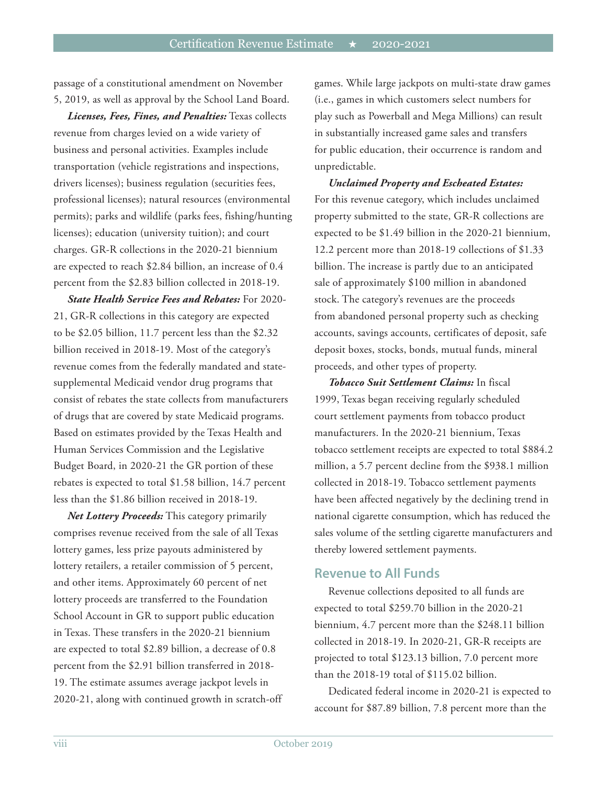passage of a constitutional amendment on November 5, 2019, as well as approval by the School Land Board.

*Licenses, Fees, Fines, and Penalties:* Texas collects revenue from charges levied on a wide variety of business and personal activities. Examples include transportation (vehicle registrations and inspections, drivers licenses); business regulation (securities fees, professional licenses); natural resources (environmental permits); parks and wildlife (parks fees, fishing/hunting licenses); education (university tuition); and court charges. GR-R collections in the 2020-21 biennium are expected to reach \$2.84 billion, an increase of 0.4 percent from the \$2.83 billion collected in 2018-19.

*State Health Service Fees and Rebates:* For 2020- 21, GR-R collections in this category are expected to be \$2.05 billion, 11.7 percent less than the \$2.32 billion received in 2018-19. Most of the category's revenue comes from the federally mandated and statesupplemental Medicaid vendor drug programs that consist of rebates the state collects from manufacturers of drugs that are covered by state Medicaid programs. Based on estimates provided by the Texas Health and Human Services Commission and the Legislative Budget Board, in 2020-21 the GR portion of these rebates is expected to total \$1.58 billion, 14.7 percent less than the \$1.86 billion received in 2018-19.

*Net Lottery Proceeds:* This category primarily comprises revenue received from the sale of all Texas lottery games, less prize payouts administered by lottery retailers, a retailer commission of 5 percent, and other items. Approximately 60 percent of net lottery proceeds are transferred to the Foundation School Account in GR to support public education in Texas. These transfers in the 2020-21 biennium are expected to total \$2.89 billion, a decrease of 0.8 percent from the \$2.91 billion transferred in 2018- 19. The estimate assumes average jackpot levels in 2020-21, along with continued growth in scratch-off games. While large jackpots on multi-state draw games (i.e., games in which customers select numbers for play such as Powerball and Mega Millions) can result in substantially increased game sales and transfers for public education, their occurrence is random and unpredictable.

*Unclaimed Property and Escheated Estates:* For this revenue category, which includes unclaimed property submitted to the state, GR-R collections are expected to be \$1.49 billion in the 2020-21 biennium, 12.2 percent more than 2018-19 collections of \$1.33 billion. The increase is partly due to an anticipated sale of approximately \$100 million in abandoned stock. The category's revenues are the proceeds from abandoned personal property such as checking accounts, savings accounts, certificates of deposit, safe deposit boxes, stocks, bonds, mutual funds, mineral proceeds, and other types of property.

*Tobacco Suit Settlement Claims:* In fiscal 1999, Texas began receiving regularly scheduled court settlement payments from tobacco product manufacturers. In the 2020-21 biennium, Texas tobacco settlement receipts are expected to total \$884.2 million, a 5.7 percent decline from the \$938.1 million collected in 2018-19. Tobacco settlement payments have been affected negatively by the declining trend in national cigarette consumption, which has reduced the sales volume of the settling cigarette manufacturers and thereby lowered settlement payments.

#### **Revenue to All Funds**

Revenue collections deposited to all funds are expected to total \$259.70 billion in the 2020-21 biennium, 4.7 percent more than the \$248.11 billion collected in 2018-19. In 2020-21, GR-R receipts are projected to total \$123.13 billion, 7.0 percent more than the 2018-19 total of \$115.02 billion.

Dedicated federal income in 2020-21 is expected to account for \$87.89 billion, 7.8 percent more than the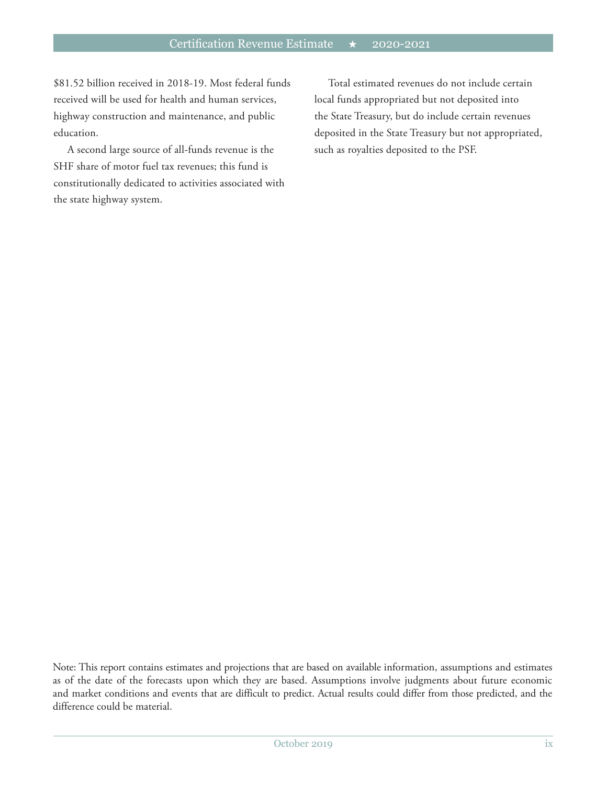\$81.52 billion received in 2018-19. Most federal funds received will be used for health and human services, highway construction and maintenance, and public education.

A second large source of all-funds revenue is the SHF share of motor fuel tax revenues; this fund is constitutionally dedicated to activities associated with the state highway system.

Total estimated revenues do not include certain local funds appropriated but not deposited into the State Treasury, but do include certain revenues deposited in the State Treasury but not appropriated, such as royalties deposited to the PSF.

Note: This report contains estimates and projections that are based on available information, assumptions and estimates as of the date of the forecasts upon which they are based. Assumptions involve judgments about future economic and market conditions and events that are difficult to predict. Actual results could differ from those predicted, and the difference could be material.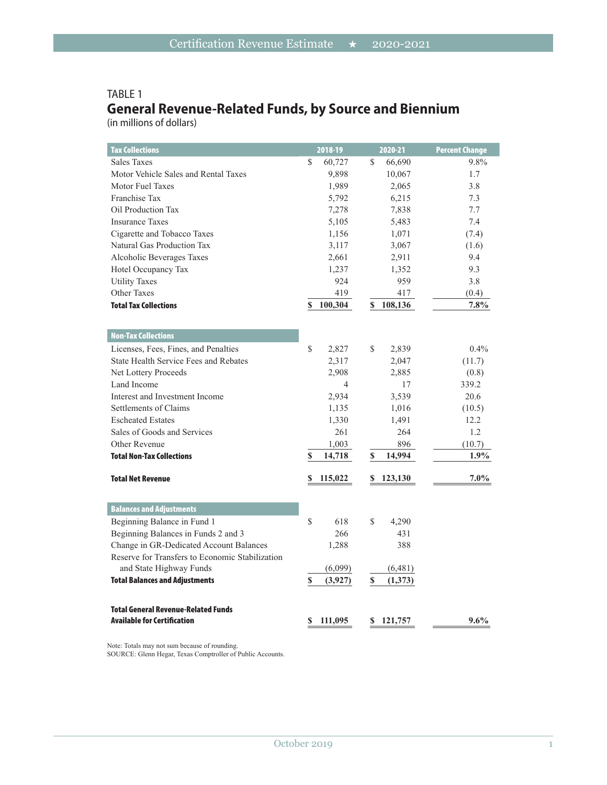## TABLE 1 **General Revenue-Related Funds, by Source and Biennium**

(in millions of dollars)

| <b>Tax Collections</b>                          | 2018-19        | 2020-21       | <b>Percent Change</b> |
|-------------------------------------------------|----------------|---------------|-----------------------|
| <b>Sales Taxes</b>                              | \$<br>60,727   | 66,690<br>\$  | 9.8%                  |
| Motor Vehicle Sales and Rental Taxes            | 9,898          | 10,067        | 1.7                   |
| Motor Fuel Taxes                                | 1,989          | 2,065         | 3.8                   |
| Franchise Tax                                   | 5,792          | 6,215         | 7.3                   |
| Oil Production Tax                              | 7,278          | 7,838         | 7.7                   |
| <b>Insurance Taxes</b>                          | 5,105          | 5,483         | 7.4                   |
| Cigarette and Tobacco Taxes                     | 1,156          | 1,071         | (7.4)                 |
| Natural Gas Production Tax                      | 3,117          | 3,067         | (1.6)                 |
| Alcoholic Beverages Taxes                       | 2,661          | 2,911         | 9.4                   |
| Hotel Occupancy Tax                             | 1,237          | 1,352         | 9.3                   |
| <b>Utility Taxes</b>                            | 924            | 959           | 3.8                   |
| <b>Other Taxes</b>                              | 419            | 417           | (0.4)                 |
| <b>Total Tax Collections</b>                    | 100,304<br>S   | 108,136<br>\$ | 7.8%                  |
|                                                 |                |               |                       |
| <b>Non-Tax Collections</b>                      |                |               |                       |
| Licenses, Fees, Fines, and Penalties            | \$<br>2,827    | \$<br>2,839   | 0.4%                  |
| <b>State Health Service Fees and Rebates</b>    | 2,317          | 2,047         | (11.7)                |
| Net Lottery Proceeds                            | 2,908          | 2,885         | (0.8)                 |
| Land Income                                     | $\overline{4}$ | 17            | 339.2                 |
| Interest and Investment Income                  | 2,934          | 3,539         | 20.6                  |
| Settlements of Claims                           | 1,135          | 1,016         | (10.5)                |
| <b>Escheated Estates</b>                        | 1,330          | 1,491         | 12.2                  |
| Sales of Goods and Services                     | 261            | 264           | 1.2                   |
| Other Revenue                                   | 1,003          | 896           | (10.7)                |
| <b>Total Non-Tax Collections</b>                | \$<br>14,718   | 14,994<br>\$  | 1.9%                  |
| <b>Total Net Revenue</b>                        | 115,022<br>S   | 123,130<br>\$ | $7.0\%$               |
|                                                 |                |               |                       |
| <b>Balances and Adjustments</b>                 |                |               |                       |
| Beginning Balance in Fund 1                     | \$<br>618      | \$<br>4,290   |                       |
| Beginning Balances in Funds 2 and 3             | 266            | 431           |                       |
| Change in GR-Dedicated Account Balances         | 1,288          | 388           |                       |
| Reserve for Transfers to Economic Stabilization |                |               |                       |
| and State Highway Funds                         | (6,099)        | (6,481)       |                       |
| <b>Total Balances and Adjustments</b>           | (3,927)<br>\$  | (1,373)<br>\$ |                       |
|                                                 |                |               |                       |
| <b>Total General Revenue-Related Funds</b>      |                |               |                       |
| <b>Available for Certification</b>              | S<br>111,095   | 121,757<br>S  | $9.6\%$               |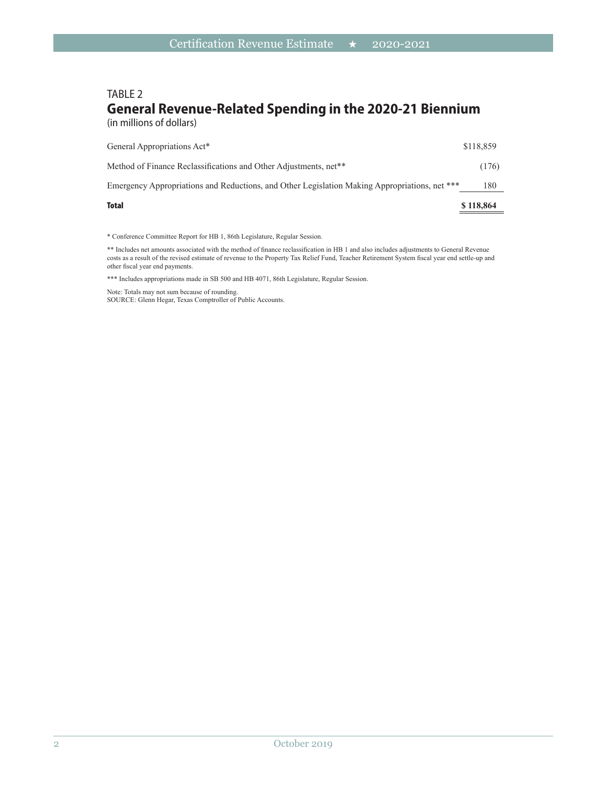# TABLE 2 **General Revenue-Related Spending in the 2020-21 Biennium**

(in millions of dollars)

| <b>Total</b>                                                                                  | \$118,864 |
|-----------------------------------------------------------------------------------------------|-----------|
| Emergency Appropriations and Reductions, and Other Legislation Making Appropriations, net *** | 180       |
| Method of Finance Reclassifications and Other Adjustments, net <sup>**</sup>                  | (176)     |
| General Appropriations Act*                                                                   | \$118,859 |

\* Conference Committee Report for HB 1, 86th Legislature, Regular Session.

\*\* Includes net amounts associated with the method of finance reclassification in HB 1 and also includes adjustments to General Revenue costs as a result of the revised estimate of revenue to the Property Tax Relief Fund, Teacher Retirement System fiscal year end settle-up and other fiscal year end payments.

\*\*\* Includes appropriations made in SB 500 and HB 4071, 86th Legislature, Regular Session.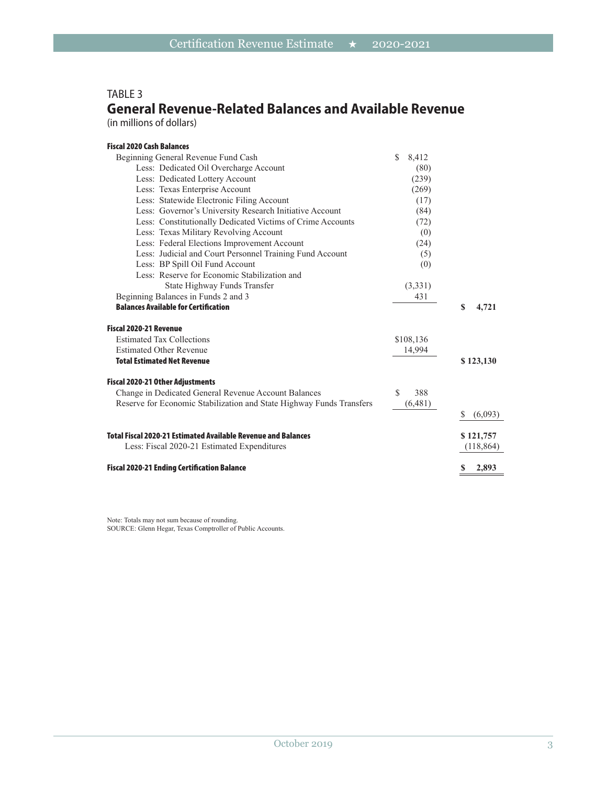### TABLE 3 **General Revenue-Related Balances and Available Revenue**

(in millions of dollars)

| <b>Fiscal 2020 Cash Balances</b>                                     |              |              |
|----------------------------------------------------------------------|--------------|--------------|
| Beginning General Revenue Fund Cash                                  | \$.<br>8,412 |              |
| Less: Dedicated Oil Overcharge Account                               | (80)         |              |
| Less: Dedicated Lottery Account                                      | (239)        |              |
| Less: Texas Enterprise Account                                       | (269)        |              |
| Less: Statewide Electronic Filing Account                            | (17)         |              |
| Less: Governor's University Research Initiative Account              | (84)         |              |
| Less: Constitutionally Dedicated Victims of Crime Accounts           | (72)         |              |
| Less: Texas Military Revolving Account                               | (0)          |              |
| Less: Federal Elections Improvement Account                          | (24)         |              |
| Less: Judicial and Court Personnel Training Fund Account             | (5)          |              |
| Less: BP Spill Oil Fund Account                                      | (0)          |              |
| Less: Reserve for Economic Stabilization and                         |              |              |
| State Highway Funds Transfer                                         | (3,331)      |              |
| Beginning Balances in Funds 2 and 3                                  | 431          |              |
| <b>Balances Available for Certification</b>                          |              | \$<br>4,721  |
| <b>Fiscal 2020-21 Revenue</b>                                        |              |              |
| <b>Estimated Tax Collections</b>                                     | \$108,136    |              |
| <b>Estimated Other Revenue</b>                                       | 14,994       |              |
| <b>Total Estimated Net Revenue</b>                                   |              | \$123,130    |
| Fiscal 2020-21 Other Adjustments                                     |              |              |
| Change in Dedicated General Revenue Account Balances                 | S<br>388     |              |
| Reserve for Economic Stabilization and State Highway Funds Transfers | (6,481)      |              |
|                                                                      |              | (6,093)<br>S |
| <b>Total Fiscal 2020-21 Estimated Available Revenue and Balances</b> |              | \$121,757    |
| Less: Fiscal 2020-21 Estimated Expenditures                          |              | (118, 864)   |
| <b>Fiscal 2020-21 Ending Certification Balance</b>                   |              | 2,893        |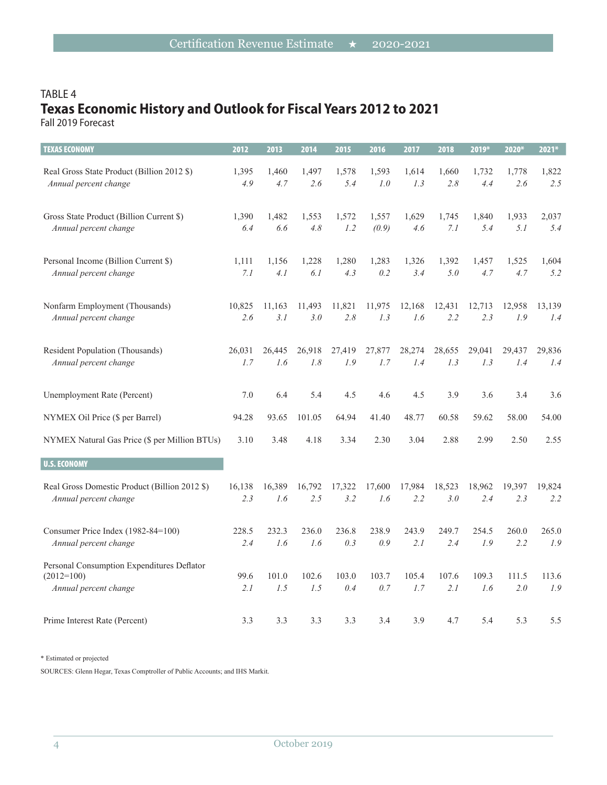# TABLE 4 **Texas Economic History and Outlook for Fiscal Years 2012 to 2021**

Fall 2019 Forecast

| <b>TEXAS ECONOMY</b>                                                                | 2012        | 2013         | 2014         | 2015         | 2016         | 2017         | 2018         | 2019*        | 2020*        | 2021*        |
|-------------------------------------------------------------------------------------|-------------|--------------|--------------|--------------|--------------|--------------|--------------|--------------|--------------|--------------|
| Real Gross State Product (Billion 2012 \$)                                          | 1,395       | 1,460        | 1,497        | 1,578        | 1,593        | 1,614        | 1,660        | 1,732        | 1,778        | 1,822        |
| Annual percent change                                                               | 4.9         | 4.7          | 2.6          | 5.4          | 1.0          | 1.3          | 2.8          | 4.4          | 2.6          | 2.5          |
| Gross State Product (Billion Current \$)                                            | 1,390       | 1,482        | 1,553        | 1,572        | 1,557        | 1,629        | 1,745        | 1,840        | 1,933        | 2,037        |
| Annual percent change                                                               | 6.4         | 6.6          | 4.8          | 1.2          | (0.9)        | 4.6          | 7.1          | 5.4          | 5.1          | 5.4          |
| Personal Income (Billion Current \$)                                                | 1,111       | 1,156        | 1,228        | 1,280        | 1,283        | 1,326        | 1,392        | 1,457        | 1,525        | 1,604        |
| Annual percent change                                                               | 7.1         | 4.1          | 6.1          | 4.3          | 0.2          | 3.4          | 5.0          | 4.7          | 4.7          | 5.2          |
| Nonfarm Employment (Thousands)                                                      | 10,825      | 11,163       | 11,493       | 11,821       | 11,975       | 12,168       | 12,431       | 12,713       | 12,958       | 13,139       |
| Annual percent change                                                               | 2.6         | 3.1          | 3.0          | 2.8          | 1.3          | 1.6          | 2.2          | 2.3          | 1.9          | 1.4          |
| Resident Population (Thousands)                                                     | 26,031      | 26,445       | 26,918       | 27,419       | 27,877       | 28,274       | 28,655       | 29,041       | 29,437       | 29,836       |
| Annual percent change                                                               | 1.7         | 1.6          | 1.8          | 1.9          | 1.7          | 1.4          | 1.3          | 1.3          | 1.4          | 1.4          |
| Unemployment Rate (Percent)                                                         | 7.0         | 6.4          | 5.4          | 4.5          | 4.6          | 4.5          | 3.9          | 3.6          | 3.4          | 3.6          |
| NYMEX Oil Price (\$ per Barrel)                                                     | 94.28       | 93.65        | 101.05       | 64.94        | 41.40        | 48.77        | 60.58        | 59.62        | 58.00        | 54.00        |
| NYMEX Natural Gas Price (\$ per Million BTUs)                                       | 3.10        | 3.48         | 4.18         | 3.34         | 2.30         | 3.04         | 2.88         | 2.99         | 2.50         | 2.55         |
| <b>U.S. ECONOMY</b>                                                                 |             |              |              |              |              |              |              |              |              |              |
| Real Gross Domestic Product (Billion 2012 \$)                                       | 16,138      | 16,389       | 16,792       | 17,322       | 17,600       | 17,984       | 18,523       | 18,962       | 19,397       | 19,824       |
| Annual percent change                                                               | 2.3         | 1.6          | 2.5          | 3.2          | 1.6          | 2.2          | 3.0          | 2.4          | 2.3          | 2.2          |
| Consumer Price Index (1982-84=100)                                                  | 228.5       | 232.3        | 236.0        | 236.8        | 238.9        | 243.9        | 249.7        | 254.5        | 260.0        | 265.0        |
| Annual percent change                                                               | 2.4         | 1.6          | 1.6          | 0.3          | 0.9          | 2.1          | 2.4          | 1.9          | 2.2          | 1.9          |
| Personal Consumption Expenditures Deflator<br>$(2012=100)$<br>Annual percent change | 99.6<br>2.1 | 101.0<br>1.5 | 102.6<br>1.5 | 103.0<br>0.4 | 103.7<br>0.7 | 105.4<br>1.7 | 107.6<br>2.1 | 109.3<br>1.6 | 111.5<br>2.0 | 113.6<br>1.9 |
| Prime Interest Rate (Percent)                                                       | 3.3         | 3.3          | 3.3          | 3.3          | 3.4          | 3.9          | 4.7          | 5.4          | 5.3          | 5.5          |

\* Estimated or projected

SOURCES: Glenn Hegar, Texas Comptroller of Public Accounts; and IHS Markit.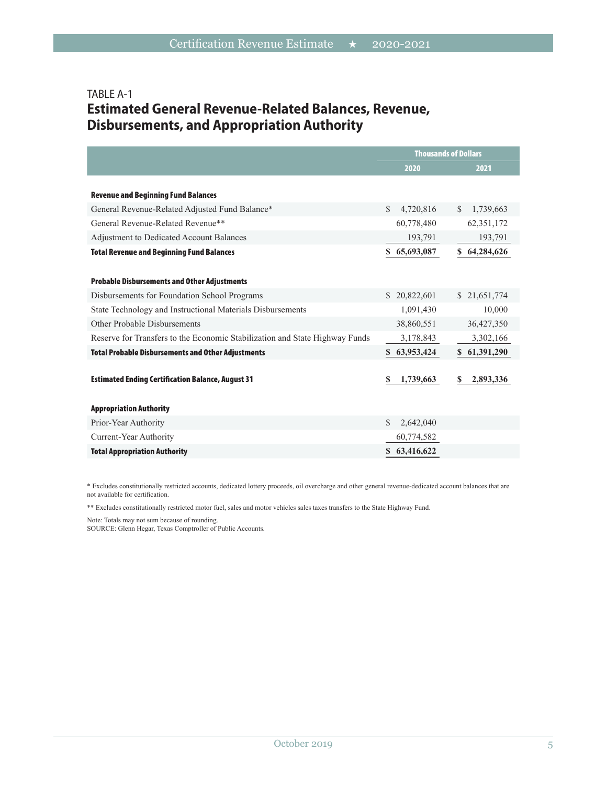## TABLE A-1 **Estimated General Revenue-Related Balances, Revenue, Disbursements, and Appropriation Authority**

|                                                                             | <b>Thousands of Dollars</b> |                           |  |
|-----------------------------------------------------------------------------|-----------------------------|---------------------------|--|
|                                                                             | 2020                        | 2021                      |  |
|                                                                             |                             |                           |  |
| <b>Revenue and Beginning Fund Balances</b>                                  |                             |                           |  |
| General Revenue-Related Adjusted Fund Balance*                              | <sup>\$</sup><br>4,720,816  | 1,739,663<br><sup>S</sup> |  |
| General Revenue-Related Revenue**                                           | 60,778,480                  | 62,351,172                |  |
| <b>Adjustment to Dedicated Account Balances</b>                             | 193,791                     | 193,791                   |  |
| <b>Total Revenue and Beginning Fund Balances</b>                            | 65,693,087<br>S.            | 64,284,626<br>S.          |  |
|                                                                             |                             |                           |  |
| <b>Probable Disbursements and Other Adjustments</b>                         |                             |                           |  |
| Disbursements for Foundation School Programs                                | \$20,822,601                | \$21,651,774              |  |
| State Technology and Instructional Materials Disbursements                  | 1,091,430                   | 10,000                    |  |
| Other Probable Disbursements                                                | 38,860,551                  | 36,427,350                |  |
| Reserve for Transfers to the Economic Stabilization and State Highway Funds | 3,178,843                   | 3,302,166                 |  |
| <b>Total Probable Disbursements and Other Adjustments</b>                   | \$63,953,424                | \$ 61,391,290             |  |
|                                                                             |                             |                           |  |
| <b>Estimated Ending Certification Balance, August 31</b>                    | S<br>1,739,663              | S<br>2,893,336            |  |
|                                                                             |                             |                           |  |
| <b>Appropriation Authority</b>                                              |                             |                           |  |
| Prior-Year Authority                                                        | 2,642,040<br>\$             |                           |  |
| Current-Year Authority                                                      | 60,774,582                  |                           |  |
| <b>Total Appropriation Authority</b>                                        | 63,416,622<br>S.            |                           |  |
|                                                                             |                             |                           |  |

\* Excludes constitutionally restricted accounts, dedicated lottery proceeds, oil overcharge and other general revenue-dedicated account balances that are not available for certification.

\*\* Excludes constitutionally restricted motor fuel, sales and motor vehicles sales taxes transfers to the State Highway Fund.

Note: Totals may not sum because of rounding.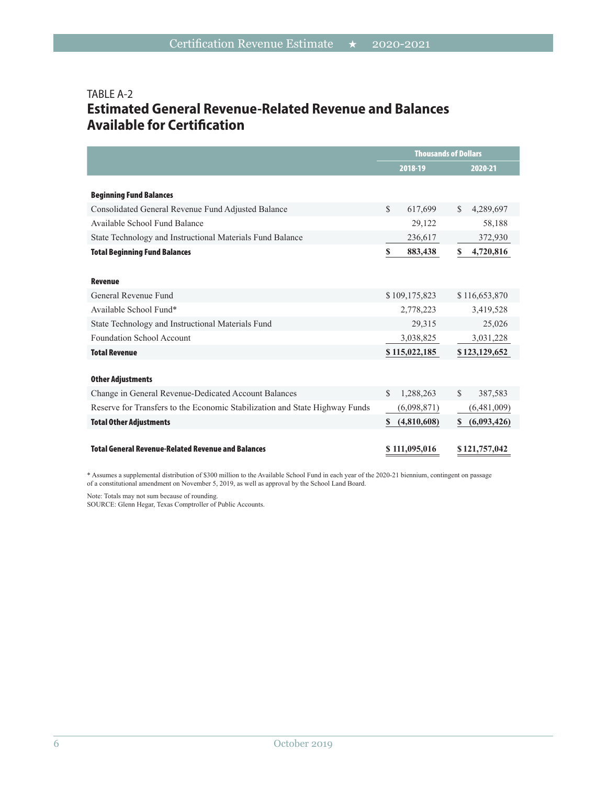#### TABLE A-2 **Estimated General Revenue-Related Revenue and Balances Available for Certification**

|                                                                             | <b>Thousands of Dollars</b> |                           |  |
|-----------------------------------------------------------------------------|-----------------------------|---------------------------|--|
|                                                                             | 2018-19                     | 2020-21                   |  |
|                                                                             |                             |                           |  |
| <b>Beginning Fund Balances</b>                                              |                             |                           |  |
| Consolidated General Revenue Fund Adjusted Balance                          | $\mathbb{S}$<br>617,699     | $\mathbb{S}$<br>4,289,697 |  |
| Available School Fund Balance                                               | 29,122                      | 58,188                    |  |
| State Technology and Instructional Materials Fund Balance                   | 236,617                     | 372,930                   |  |
| <b>Total Beginning Fund Balances</b>                                        | S<br>883,438                | S<br>4,720,816            |  |
|                                                                             |                             |                           |  |
| <b>Revenue</b>                                                              |                             |                           |  |
| General Revenue Fund                                                        | \$109,175,823               | \$116,653,870             |  |
| Available School Fund*                                                      | 2,778,223                   | 3,419,528                 |  |
| State Technology and Instructional Materials Fund                           | 29,315                      | 25,026                    |  |
| <b>Foundation School Account</b>                                            | 3,038,825                   | 3,031,228                 |  |
| <b>Total Revenue</b>                                                        | \$115,022,185               | \$123,129,652             |  |
|                                                                             |                             |                           |  |
| <b>Other Adjustments</b>                                                    |                             |                           |  |
| Change in General Revenue-Dedicated Account Balances                        | 1,288,263<br>\$.            | <sup>\$</sup><br>387,583  |  |
| Reserve for Transfers to the Economic Stabilization and State Highway Funds | (6,098,871)                 | (6,481,009)               |  |
| <b>Total Other Adjustments</b>                                              | (4,810,608)<br>S.           | (6,093,426)<br>S          |  |
|                                                                             |                             |                           |  |
| <b>Total General Revenue-Related Revenue and Balances</b>                   | \$111,095,016               | \$121,757,042             |  |

\* Assumes a supplemental distribution of \$300 million to the Available School Fund in each year of the 2020-21 biennium, contingent on passage of a constitutional amendment on November 5, 2019, as well as approval by the School Land Board.

Note: Totals may not sum because of rounding.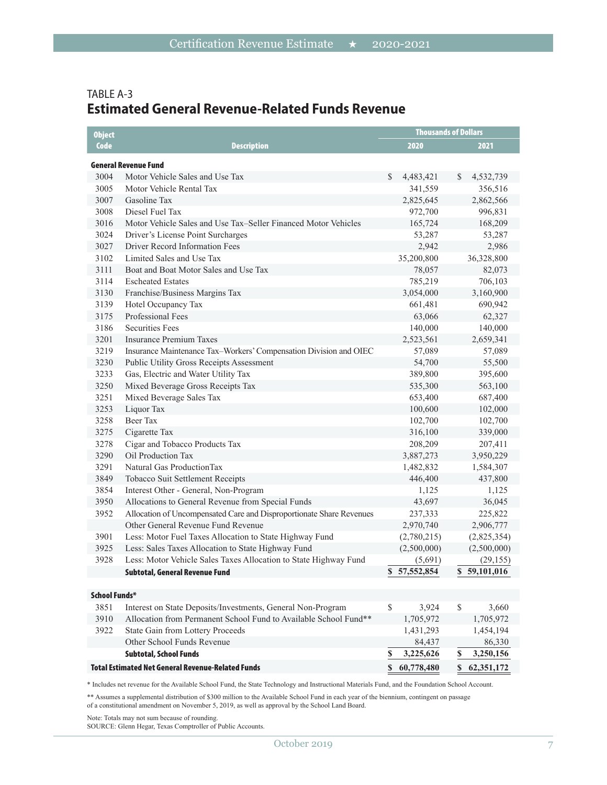#### TABLE A-3 **Estimated General Revenue-Related Funds Revenue**

| <b>Object</b>        |                                                                      |    | <b>Thousands of Dollars</b> |              |              |
|----------------------|----------------------------------------------------------------------|----|-----------------------------|--------------|--------------|
| Code                 | <b>Description</b>                                                   |    | 2020                        |              | 2021         |
|                      | General Revenue Fund                                                 |    |                             |              |              |
| 3004                 | Motor Vehicle Sales and Use Tax                                      | S  | 4,483,421                   | S.           | 4,532,739    |
| 3005                 | Motor Vehicle Rental Tax                                             |    | 341,559                     |              | 356,516      |
| 3007                 | Gasoline Tax                                                         |    | 2,825,645                   |              | 2,862,566    |
| 3008                 | Diesel Fuel Tax                                                      |    | 972,700                     |              | 996,831      |
| 3016                 | Motor Vehicle Sales and Use Tax-Seller Financed Motor Vehicles       |    | 165,724                     |              | 168,209      |
| 3024                 | Driver's License Point Surcharges                                    |    | 53,287                      |              | 53,287       |
| 3027                 | Driver Record Information Fees                                       |    | 2,942                       |              | 2,986        |
| 3102                 | Limited Sales and Use Tax                                            |    | 35,200,800                  |              | 36,328,800   |
| 3111                 | Boat and Boat Motor Sales and Use Tax                                |    | 78,057                      |              | 82,073       |
| 3114                 | <b>Escheated Estates</b>                                             |    | 785,219                     |              | 706,103      |
| 3130                 | Franchise/Business Margins Tax                                       |    | 3,054,000                   |              | 3,160,900    |
| 3139                 | Hotel Occupancy Tax                                                  |    | 661,481                     |              | 690,942      |
| 3175                 | Professional Fees                                                    |    | 63,066                      |              | 62,327       |
| 3186                 | <b>Securities Fees</b>                                               |    | 140,000                     |              | 140,000      |
| 3201                 | Insurance Premium Taxes                                              |    | 2,523,561                   |              | 2,659,341    |
| 3219                 | Insurance Maintenance Tax-Workers' Compensation Division and OIEC    |    | 57,089                      |              | 57,089       |
| 3230                 | Public Utility Gross Receipts Assessment                             |    | 54,700                      |              | 55,500       |
| 3233                 | Gas, Electric and Water Utility Tax                                  |    | 389,800                     |              | 395,600      |
| 3250                 | Mixed Beverage Gross Receipts Tax                                    |    | 535,300                     |              | 563,100      |
| 3251                 | Mixed Beverage Sales Tax                                             |    | 653,400                     |              | 687,400      |
| 3253                 | Liquor Tax                                                           |    | 100,600                     |              | 102,000      |
| 3258                 | <b>Beer Tax</b>                                                      |    | 102,700                     |              | 102,700      |
| 3275                 | Cigarette Tax                                                        |    | 316,100                     |              | 339,000      |
| 3278                 | Cigar and Tobacco Products Tax                                       |    | 208,209                     |              | 207,411      |
| 3290                 | Oil Production Tax                                                   |    | 3,887,273                   |              | 3,950,229    |
| 3291                 | Natural Gas ProductionTax                                            |    | 1,482,832                   |              | 1,584,307    |
| 3849                 | Tobacco Suit Settlement Receipts                                     |    | 446,400                     |              | 437,800      |
| 3854                 | Interest Other - General, Non-Program                                |    | 1,125                       |              | 1,125        |
| 3950                 | Allocations to General Revenue from Special Funds                    |    | 43,697                      |              | 36,045       |
| 3952                 | Allocation of Uncompensated Care and Disproportionate Share Revenues |    | 237,333                     |              | 225,822      |
|                      | Other General Revenue Fund Revenue                                   |    | 2,970,740                   |              | 2,906,777    |
| 3901                 | Less: Motor Fuel Taxes Allocation to State Highway Fund              |    | (2,780,215)                 |              | (2,825,354)  |
| 3925                 | Less: Sales Taxes Allocation to State Highway Fund                   |    | (2,500,000)                 |              | (2,500,000)  |
| 3928                 | Less: Motor Vehicle Sales Taxes Allocation to State Highway Fund     |    | (5,691)                     |              | (29, 155)    |
|                      | Subtotal, General Revenue Fund                                       |    | \$57,552,854                |              | \$59,101,016 |
| <b>School Funds*</b> |                                                                      |    |                             |              |              |
| 3851                 | Interest on State Deposits/Investments, General Non-Program          | \$ | 3,924                       | $\mathbb{S}$ | 3,660        |
| 3910                 | Allocation from Permanent School Fund to Available School Fund**     |    | 1,705,972                   |              | 1,705,972    |
| 3922                 | State Gain from Lottery Proceeds                                     |    | 1,431,293                   |              | 1,454,194    |
|                      | Other School Funds Revenue                                           |    | 84,437                      |              | 86,330       |
|                      | <b>Subtotal, School Funds</b>                                        | \$ | 3,225,626                   | $\mathbf{s}$ | 3,250,156    |
|                      | <b>Total Estimated Net General Revenue-Related Funds</b>             |    | \$60,778,480                |              | \$62,351,172 |

\* Includes net revenue for the Available School Fund, the State Technology and Instructional Materials Fund, and the Foundation School Account.

\*\* Assumes a supplemental distribution of \$300 million to the Available School Fund in each year of the biennium, contingent on passage of a constitutional amendment on November 5, 2019, as well as approval by the School Land Board.

Note: Totals may not sum because of rounding.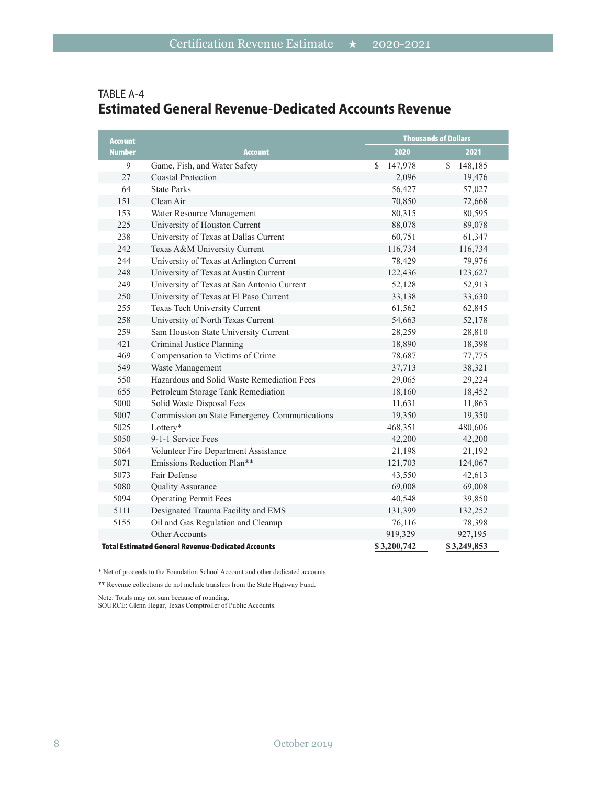| <b>Account</b> |                                                           |               | <b>Thousands of Dollars</b> |
|----------------|-----------------------------------------------------------|---------------|-----------------------------|
| <b>Number</b>  | <b>Account</b>                                            | 2020          | 2021                        |
| 9              | Game, Fish, and Water Safety                              | \$<br>147,978 | 148,185<br>S                |
| 27             | <b>Coastal Protection</b>                                 | 2,096         | 19,476                      |
| 64             | <b>State Parks</b>                                        | 56,427        | 57,027                      |
| 151            | Clean Air                                                 | 70,850        | 72,668                      |
| 153            | Water Resource Management                                 | 80,315        | 80,595                      |
| 225            | University of Houston Current                             | 88,078        | 89,078                      |
| 238            | University of Texas at Dallas Current                     | 60,751        | 61,347                      |
| 242            | Texas A&M University Current                              | 116,734       | 116,734                     |
| 244            | University of Texas at Arlington Current                  | 78,429        | 79,976                      |
| 248            | University of Texas at Austin Current                     | 122,436       | 123,627                     |
| 249            | University of Texas at San Antonio Current                | 52,128        | 52,913                      |
| 250            | University of Texas at El Paso Current                    | 33,138        | 33,630                      |
| 255            | Texas Tech University Current                             | 61,562        | 62,845                      |
| 258            | University of North Texas Current                         | 54,663        | 52,178                      |
| 259            | Sam Houston State University Current                      | 28,259        | 28,810                      |
| 421            | Criminal Justice Planning                                 | 18,890        | 18,398                      |
| 469            | Compensation to Victims of Crime                          | 78,687        | 77,775                      |
| 549            | Waste Management                                          | 37,713        | 38,321                      |
| 550            | Hazardous and Solid Waste Remediation Fees                | 29,065        | 29,224                      |
| 655            | Petroleum Storage Tank Remediation                        | 18,160        | 18,452                      |
| 5000           | Solid Waste Disposal Fees                                 | 11,631        | 11,863                      |
| 5007           | Commission on State Emergency Communications              | 19,350        | 19,350                      |
| 5025           | Lottery*                                                  | 468,351       | 480,606                     |
| 5050           | 9-1-1 Service Fees                                        | 42,200        | 42,200                      |
| 5064           | Volunteer Fire Department Assistance                      | 21,198        | 21,192                      |
| 5071           | Emissions Reduction Plan**                                | 121,703       | 124,067                     |
| 5073           | Fair Defense                                              | 43,550        | 42,613                      |
| 5080           | <b>Quality Assurance</b>                                  | 69,008        | 69,008                      |
| 5094           | <b>Operating Permit Fees</b>                              | 40,548        | 39,850                      |
| 5111           | Designated Trauma Facility and EMS                        | 131,399       | 132,252                     |
| 5155           | Oil and Gas Regulation and Cleanup                        | 76,116        | 78,398                      |
|                | <b>Other Accounts</b>                                     | 919,329       | 927,195                     |
|                | <b>Total Estimated General Revenue-Dedicated Accounts</b> | \$3,200,742   | \$3,249,853                 |

#### TABLE A-4 **Estimated General Revenue-Dedicated Accounts Revenue**

\* Net of proceeds to the Foundation School Account and other dedicated accounts.

\*\* Revenue collections do not include transfers from the State Highway Fund.

Note: Totals may not sum because of rounding.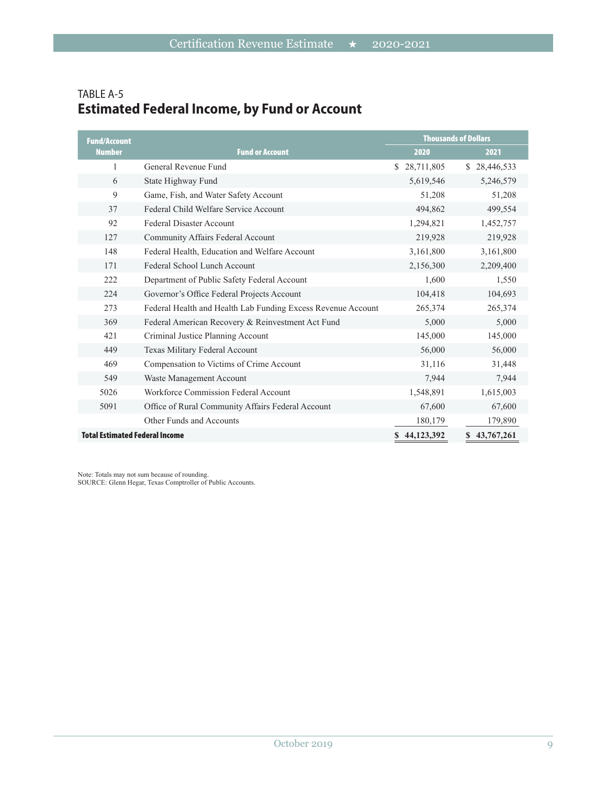| <b>Fund/Account</b>                   |                                                              | <b>Thousands of Dollars</b> |              |  |
|---------------------------------------|--------------------------------------------------------------|-----------------------------|--------------|--|
| <b>Number</b>                         | <b>Fund or Account</b>                                       | 2020                        | 2021         |  |
| 1                                     | General Revenue Fund                                         | 28,711,805<br>\$            | \$28,446,533 |  |
| 6                                     | State Highway Fund                                           | 5,619,546                   | 5,246,579    |  |
| 9                                     | Game, Fish, and Water Safety Account                         | 51,208                      | 51,208       |  |
| 37                                    | Federal Child Welfare Service Account                        | 494,862                     | 499,554      |  |
| 92                                    | <b>Federal Disaster Account</b>                              | 1,294,821                   | 1,452,757    |  |
| 127                                   | Community Affairs Federal Account                            | 219,928                     | 219,928      |  |
| 148                                   | Federal Health, Education and Welfare Account                | 3,161,800                   | 3,161,800    |  |
| 171                                   | Federal School Lunch Account                                 | 2,156,300                   | 2,209,400    |  |
| 222                                   | Department of Public Safety Federal Account                  | 1,600                       | 1,550        |  |
| 224                                   | Governor's Office Federal Projects Account                   | 104,418                     | 104,693      |  |
| 273                                   | Federal Health and Health Lab Funding Excess Revenue Account | 265,374                     | 265,374      |  |
| 369                                   | Federal American Recovery & Reinvestment Act Fund            | 5,000                       | 5,000        |  |
| 421                                   | Criminal Justice Planning Account                            | 145,000                     | 145,000      |  |
| 449                                   | Texas Military Federal Account                               | 56,000                      | 56,000       |  |
| 469                                   | Compensation to Victims of Crime Account                     | 31,116                      | 31,448       |  |
| 549                                   | Waste Management Account                                     | 7,944                       | 7,944        |  |
| 5026                                  | Workforce Commission Federal Account                         | 1,548,891                   | 1,615,003    |  |
| 5091                                  | Office of Rural Community Affairs Federal Account            | 67,600                      | 67,600       |  |
|                                       | Other Funds and Accounts                                     | 180,179                     | 179,890      |  |
| <b>Total Estimated Federal Income</b> |                                                              | \$44,123,392                | \$43,767,261 |  |

# TABLE A-5 **Estimated Federal Income, by Fund or Account**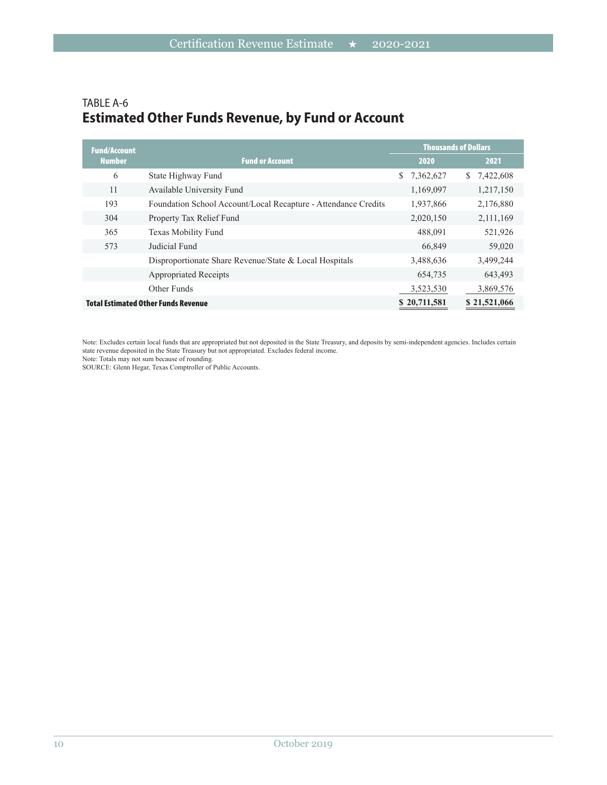#### TABLE A-6 **Estimated Other Funds Revenue, by Fund or Account**

| <b>Fund/Account</b> |                                                                |                             | <b>Thousands of Dollars</b> |
|---------------------|----------------------------------------------------------------|-----------------------------|-----------------------------|
| <b>Number</b>       | <b>Fund or Account</b>                                         | 2020                        | 2021                        |
| 6                   | State Highway Fund                                             | $\mathbb{S}^-$<br>7,362,627 | \$7,422,608                 |
| 11                  | Available University Fund                                      | 1,169,097                   | 1,217,150                   |
| 193                 | Foundation School Account/Local Recapture - Attendance Credits | 1,937,866                   | 2,176,880                   |
| 304                 | Property Tax Relief Fund                                       | 2,020,150                   | 2,111,169                   |
| 365                 | Texas Mobility Fund                                            | 488.091                     | 521,926                     |
| 573                 | Judicial Fund                                                  | 66,849                      | 59,020                      |
|                     | Disproportionate Share Revenue/State & Local Hospitals         | 3,488,636                   | 3,499,244                   |
|                     | <b>Appropriated Receipts</b>                                   | 654,735                     | 643,493                     |
|                     | Other Funds                                                    | 3,523,530                   | 3,869,576                   |
|                     | <b>Total Estimated Other Funds Revenue</b>                     | \$20,711,581                | \$21,521,066                |

Note: Excludes certain local funds that are appropriated but not deposited in the State Treasury, and deposits by semi-independent agencies. Includes certain state revenue deposited in the State Treasury but not appropriated. Excludes federal income.

Note: Totals may not sum because of rounding.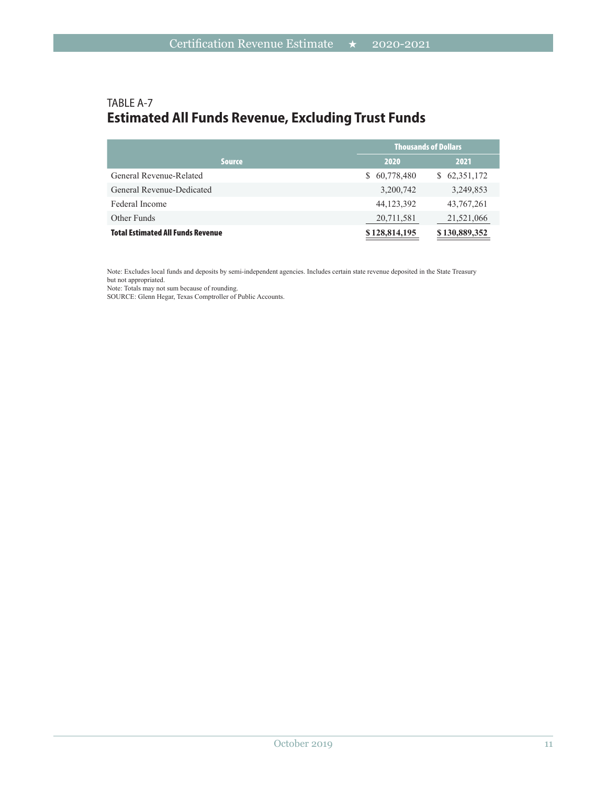## TABLE A-7 **Estimated All Funds Revenue, Excluding Trust Funds**

|                                          | <b>Thousands of Dollars</b> |               |  |
|------------------------------------------|-----------------------------|---------------|--|
| <b>Source</b>                            | 2020                        | 2021          |  |
| General Revenue-Related                  | 60,778,480<br>S.            | \$62,351,172  |  |
| General Revenue-Dedicated                | 3,200,742                   | 3,249,853     |  |
| Federal Income                           | 44,123,392                  | 43,767,261    |  |
| Other Funds                              | 20,711,581                  | 21,521,066    |  |
| <b>Total Estimated All Funds Revenue</b> | \$128,814,195               | \$130,889,352 |  |

Note: Excludes local funds and deposits by semi-independent agencies. Includes certain state revenue deposited in the State Treasury but not appropriated.

Note: Totals may not sum because of rounding.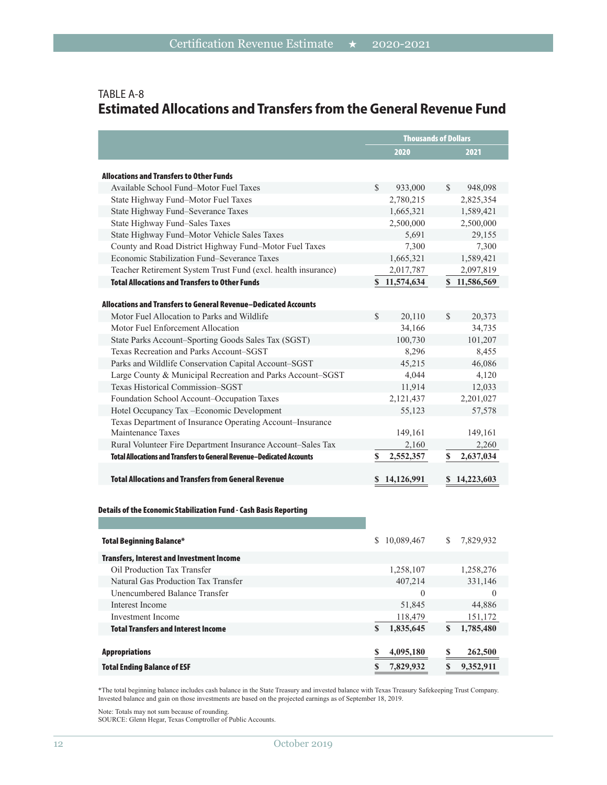|                                                                                                       | <b>Thousands of Dollars</b> |                          |  |
|-------------------------------------------------------------------------------------------------------|-----------------------------|--------------------------|--|
|                                                                                                       | 2020                        | 2021                     |  |
|                                                                                                       |                             |                          |  |
| <b>Allocations and Transfers to Other Funds</b><br>Available School Fund-Motor Fuel Taxes             | \$                          |                          |  |
|                                                                                                       | 933,000                     | 948,098<br>S.            |  |
| State Highway Fund-Motor Fuel Taxes                                                                   | 2,780,215                   | 2,825,354                |  |
| State Highway Fund-Severance Taxes                                                                    | 1,665,321                   | 1,589,421                |  |
| State Highway Fund-Sales Taxes                                                                        | 2,500,000                   | 2,500,000                |  |
| State Highway Fund-Motor Vehicle Sales Taxes                                                          | 5,691<br>7,300              | 29,155                   |  |
| County and Road District Highway Fund-Motor Fuel Taxes<br>Economic Stabilization Fund–Severance Taxes |                             | 7,300                    |  |
|                                                                                                       | 1,665,321                   | 1,589,421                |  |
| Teacher Retirement System Trust Fund (excl. health insurance)                                         | 2,017,787                   | 2,097,819                |  |
| <b>Total Allocations and Transfers to Other Funds</b>                                                 | \$11,574,634                | \$11,586,569             |  |
| Allocations and Transfers to General Revenue–Dedicated Accounts                                       |                             |                          |  |
| Motor Fuel Allocation to Parks and Wildlife                                                           | $\mathcal{S}$<br>20,110     | $\mathbb{S}$<br>20,373   |  |
| Motor Fuel Enforcement Allocation                                                                     | 34,166                      | 34,735                   |  |
| State Parks Account-Sporting Goods Sales Tax (SGST)                                                   | 100,730                     | 101,207                  |  |
| Texas Recreation and Parks Account-SGST                                                               | 8,296                       | 8,455                    |  |
| Parks and Wildlife Conservation Capital Account-SGST                                                  | 45,215                      | 46,086                   |  |
| Large County & Municipal Recreation and Parks Account-SGST                                            | 4,044                       | 4,120                    |  |
| Texas Historical Commission–SGST                                                                      | 11,914                      | 12,033                   |  |
| Foundation School Account-Occupation Taxes                                                            | 2,121,437                   | 2,201,027                |  |
| Hotel Occupancy Tax - Economic Development                                                            | 55,123                      | 57,578                   |  |
| Texas Department of Insurance Operating Account-Insurance                                             |                             |                          |  |
| Maintenance Taxes                                                                                     | 149,161                     | 149,161                  |  |
| Rural Volunteer Fire Department Insurance Account-Sales Tax                                           | 2,160                       | 2,260                    |  |
| <b>Total Allocations and Transfers to General Revenue–Dedicated Accounts</b>                          | 2,552,357<br>\$             | \$<br>2,637,034          |  |
| <b>Total Allocations and Transfers from General Revenue</b>                                           | \$14,126,991                | \$14,223,603             |  |
| Details of the Economic Stabilization Fund - Cash Basis Reporting                                     |                             |                          |  |
| <b>Total Beginning Balance*</b>                                                                       | \$10,089,467                | 7,829,932<br>S.          |  |
| <b>Transfers, Interest and Investment Income</b>                                                      |                             |                          |  |
| Oil Production Tax Transfer                                                                           | 1,258,107                   | 1,258,276                |  |
| Natural Gas Production Tax Transfer                                                                   | 407,214                     | 331,146                  |  |
| Unencumbered Balance Transfer                                                                         | $\theta$                    | $\theta$                 |  |
| Interest Income                                                                                       | 51,845                      | 44,886                   |  |
| Investment Income                                                                                     | 118,479                     | 151,172                  |  |
| <b>Total Transfers and Interest Income</b>                                                            | $\mathbf S$<br>1,835,645    | $\mathbb S$<br>1,785,480 |  |
| <b>Appropriations</b>                                                                                 | 4,095,180<br>\$             | \$<br>262,500            |  |
| <b>Total Ending Balance of ESF</b>                                                                    | $\mathbf S$<br>7,829,932    | $\mathbb S$<br>9,352,911 |  |

#### TABLE A-8 **Estimated Allocations and Transfers from the General Revenue Fund**

\*The total beginning balance includes cash balance in the State Treasury and invested balance with Texas Treasury Safekeeping Trust Company. Invested balance and gain on those investments are based on the projected earnings as of September 18, 2019.

Note: Totals may not sum because of rounding.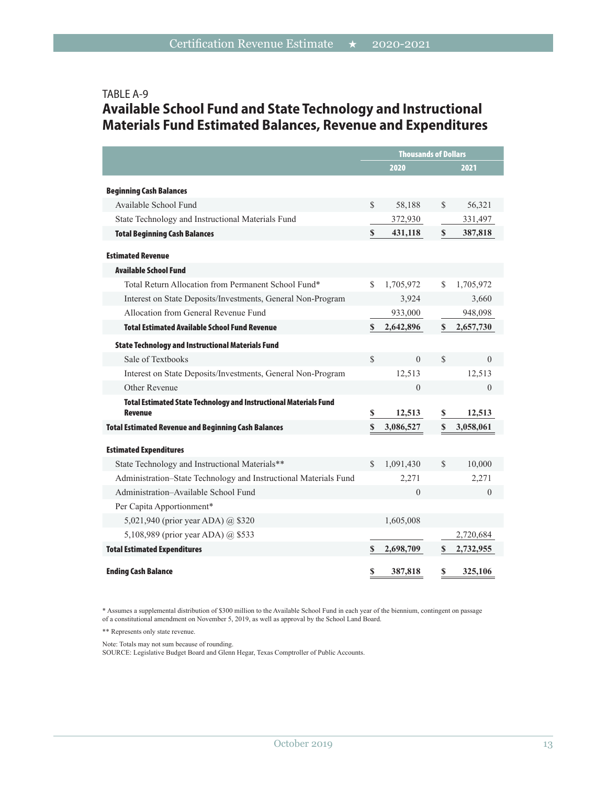#### TABLE A-9

# **Available School Fund and State Technology and Instructional Materials Fund Estimated Balances, Revenue and Expenditures**

|                                                                                            | <b>Thousands of Dollars</b> |           |               |           |
|--------------------------------------------------------------------------------------------|-----------------------------|-----------|---------------|-----------|
|                                                                                            |                             | 2020      |               | 2021      |
| <b>Beginning Cash Balances</b>                                                             |                             |           |               |           |
| Available School Fund                                                                      | $\mathcal{S}$               | 58,188    | $\mathcal{S}$ | 56,321    |
| State Technology and Instructional Materials Fund                                          |                             | 372,930   |               | 331,497   |
| <b>Total Beginning Cash Balances</b>                                                       | $\mathbf S$                 | 431,118   | $\mathbf S$   | 387,818   |
| <b>Estimated Revenue</b>                                                                   |                             |           |               |           |
| <b>Available School Fund</b>                                                               |                             |           |               |           |
| Total Return Allocation from Permanent School Fund*                                        | $\mathbf S$                 | 1,705,972 | $\mathbf S$   | 1,705,972 |
| Interest on State Deposits/Investments, General Non-Program                                |                             | 3,924     |               | 3,660     |
| Allocation from General Revenue Fund                                                       |                             | 933,000   |               | 948,098   |
| <b>Total Estimated Available School Fund Revenue</b>                                       | \$                          | 2,642,896 | S             | 2,657,730 |
| <b>State Technology and Instructional Materials Fund</b>                                   |                             |           |               |           |
| Sale of Textbooks                                                                          | $\mathcal{S}$               | $\theta$  | $\mathcal{S}$ | $\theta$  |
| Interest on State Deposits/Investments, General Non-Program                                |                             | 12,513    |               | 12,513    |
| Other Revenue                                                                              |                             | $\theta$  |               | $\theta$  |
| <b>Total Estimated State Technology and Instructional Materials Fund</b><br><b>Revenue</b> | \$                          | 12,513    | \$            | 12,513    |
| <b>Total Estimated Revenue and Beginning Cash Balances</b>                                 | $\mathbf S$                 | 3,086,527 | $\mathbf S$   | 3,058,061 |
| <b>Estimated Expenditures</b>                                                              |                             |           |               |           |
| State Technology and Instructional Materials**                                             | $\mathcal{S}$               | 1,091,430 | $\mathcal{S}$ | 10,000    |
| Administration-State Technology and Instructional Materials Fund                           |                             | 2,271     |               | 2,271     |
| Administration-Available School Fund                                                       |                             | $\theta$  |               | $\theta$  |
| Per Capita Apportionment*                                                                  |                             |           |               |           |
| 5,021,940 (prior year ADA) @ \$320                                                         |                             | 1,605,008 |               |           |
| 5,108,989 (prior year ADA) @ \$533                                                         |                             |           |               | 2,720,684 |
| <b>Total Estimated Expenditures</b>                                                        | \$                          | 2,698,709 | S             | 2,732,955 |
| <b>Ending Cash Balance</b>                                                                 | \$                          | 387,818   | \$            | 325,106   |

\* Assumes a supplemental distribution of \$300 million to the Available School Fund in each year of the biennium, contingent on passage of a constitutional amendment on November 5, 2019, as well as approval by the School Land Board.

\*\* Represents only state revenue.

Note: Totals may not sum because of rounding.

SOURCE: Legislative Budget Board and Glenn Hegar, Texas Comptroller of Public Accounts.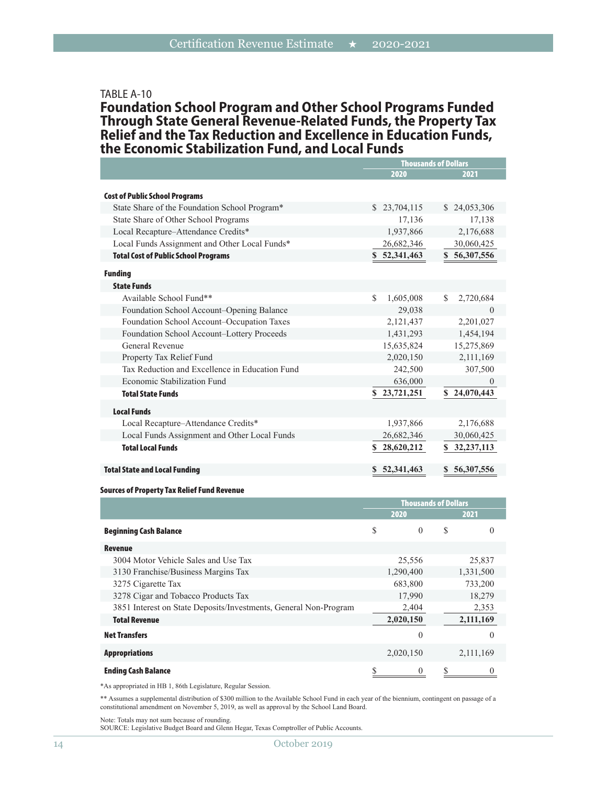#### TABLE A-10

**Foundation School Program and Other School Programs Funded Through State General Revenue-Related Funds, the Property Tax Relief and the Tax Reduction and Excellence in Education Funds, the Economic Stabilization Fund, and Local Funds**

|                                                | <b>Thousands of Dollars</b> |                    |  |
|------------------------------------------------|-----------------------------|--------------------|--|
|                                                | 2020                        | 2021               |  |
|                                                |                             |                    |  |
| <b>Cost of Public School Programs</b>          |                             |                    |  |
| State Share of the Foundation School Program*  | \$23,704,115                | \$24,053,306       |  |
| State Share of Other School Programs           | 17,136                      | 17,138             |  |
| Local Recapture-Attendance Credits*            | 1,937,866                   | 2,176,688          |  |
| Local Funds Assignment and Other Local Funds*  | 26,682,346                  | 30,060,425         |  |
| <b>Total Cost of Public School Programs</b>    | \$52,341,463                | \$56,307,556       |  |
| <b>Funding</b>                                 |                             |                    |  |
| <b>State Funds</b>                             |                             |                    |  |
| Available School Fund**                        | S.<br>1,605,008             | 2,720,684<br>S.    |  |
| Foundation School Account-Opening Balance      | 29,038                      | $\Omega$           |  |
| Foundation School Account-Occupation Taxes     | 2,121,437                   | 2,201,027          |  |
| Foundation School Account-Lottery Proceeds     | 1,431,293                   | 1,454,194          |  |
| <b>General Revenue</b>                         | 15,635,824                  | 15,275,869         |  |
| Property Tax Relief Fund                       | 2,020,150                   | 2,111,169          |  |
| Tax Reduction and Excellence in Education Fund | 242,500                     | 307,500            |  |
| Economic Stabilization Fund                    | 636,000                     | $\theta$           |  |
| <b>Total State Funds</b>                       | \$23,721,251                | \$24,070,443       |  |
| <b>Local Funds</b>                             |                             |                    |  |
| Local Recapture-Attendance Credits*            | 1,937,866                   | 2,176,688          |  |
| Local Funds Assignment and Other Local Funds   | 26,682,346                  | 30,060,425         |  |
| <b>Total Local Funds</b>                       | 28,620,212<br>S             | 32, 237, 113<br>S. |  |
| <b>Total State and Local Funding</b>           | 52,341,463                  | 56,307,556<br>S    |  |

#### Sources of Property Tax Relief Fund Revenue

|                                                                  | <b>Thousands of Dollars</b> |           |   |           |
|------------------------------------------------------------------|-----------------------------|-----------|---|-----------|
|                                                                  |                             | 2020      |   | 2021      |
| <b>Beginning Cash Balance</b>                                    | \$                          | $\theta$  | S | $\Omega$  |
| Revenue                                                          |                             |           |   |           |
| 3004 Motor Vehicle Sales and Use Tax                             |                             | 25,556    |   | 25,837    |
| 3130 Franchise/Business Margins Tax                              |                             | 1,290,400 |   | 1,331,500 |
| 3275 Cigarette Tax                                               |                             | 683,800   |   | 733,200   |
| 3278 Cigar and Tobacco Products Tax                              |                             | 17,990    |   | 18,279    |
| 3851 Interest on State Deposits/Investments, General Non-Program |                             | 2,404     |   | 2,353     |
| <b>Total Revenue</b>                                             |                             | 2,020,150 |   | 2,111,169 |
| <b>Net Transfers</b>                                             |                             | 0         |   | $\theta$  |
| <b>Appropriations</b>                                            |                             | 2,020,150 |   | 2,111,169 |
| <b>Ending Cash Balance</b>                                       |                             | 0         |   |           |

\*As appropriated in HB 1, 86th Legislature, Regular Session.

\*\* Assumes a supplemental distribution of \$300 million to the Available School Fund in each year of the biennium, contingent on passage of a constitutional amendment on November 5, 2019, as well as approval by the School Land Board.

Note: Totals may not sum because of rounding.

SOURCE: Legislative Budget Board and Glenn Hegar, Texas Comptroller of Public Accounts.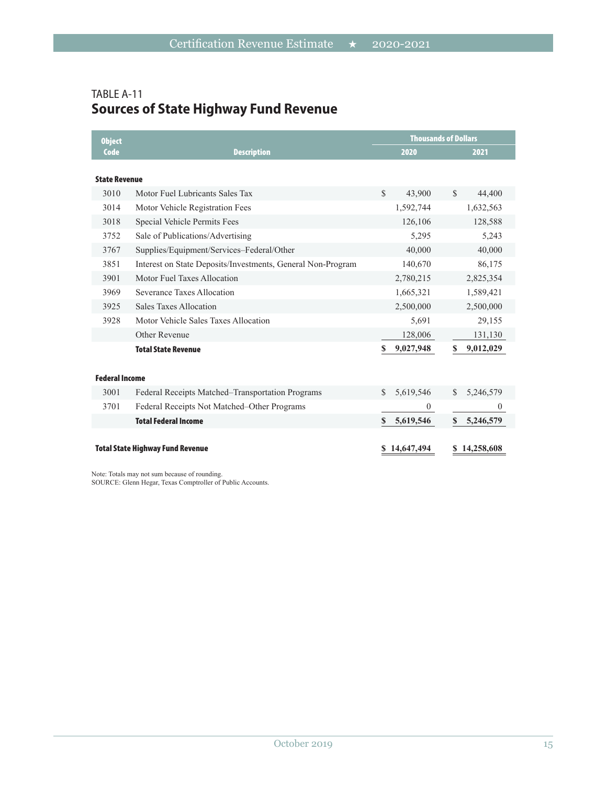# TABLE A-11 **Sources of State Highway Fund Revenue**

| <b>Object</b>         |                                                             |              | <b>Thousands of Dollars</b> |               |                |
|-----------------------|-------------------------------------------------------------|--------------|-----------------------------|---------------|----------------|
| Code                  | <b>Description</b>                                          |              | 2020                        |               | 2021           |
|                       |                                                             |              |                             |               |                |
| <b>State Revenue</b>  |                                                             |              |                             |               |                |
| 3010                  | Motor Fuel Lubricants Sales Tax                             | $\mathbb{S}$ | 43,900                      | $\mathcal{S}$ | 44,400         |
| 3014                  | Motor Vehicle Registration Fees                             |              | 1,592,744                   |               | 1,632,563      |
| 3018                  | Special Vehicle Permits Fees                                |              | 126,106                     |               | 128,588        |
| 3752                  | Sale of Publications/Advertising                            |              | 5,295                       |               | 5,243          |
| 3767                  | Supplies/Equipment/Services-Federal/Other                   |              | 40,000                      |               | 40,000         |
| 3851                  | Interest on State Deposits/Investments, General Non-Program |              | 140,670                     |               | 86,175         |
| 3901                  | Motor Fuel Taxes Allocation                                 |              | 2,780,215                   |               | 2,825,354      |
| 3969                  | Severance Taxes Allocation                                  |              | 1,665,321                   |               | 1,589,421      |
| 3925                  | Sales Taxes Allocation                                      |              | 2,500,000                   |               | 2,500,000      |
| 3928                  | Motor Vehicle Sales Taxes Allocation                        |              | 5,691                       |               | 29,155         |
|                       | Other Revenue                                               |              | 128,006                     |               | 131,130        |
|                       | <b>Total State Revenue</b>                                  | \$           | 9,027,948                   | S             | 9,012,029      |
|                       |                                                             |              |                             |               |                |
| <b>Federal Income</b> |                                                             |              |                             |               |                |
| 3001                  | Federal Receipts Matched–Transportation Programs            | S.           | 5,619,546                   | $\mathbb{S}$  | 5,246,579      |
| 3701                  | Federal Receipts Not Matched–Other Programs                 |              | $\overline{0}$              |               | $\overline{0}$ |
|                       | <b>Total Federal Income</b>                                 | S.           | 5,619,546                   | $\mathbf{s}$  | 5,246,579      |
|                       |                                                             |              |                             |               |                |
|                       | <b>Total State Highway Fund Revenue</b>                     |              | 14,647,494                  |               | 14,258,608     |

Note: Totals may not sum because of rounding.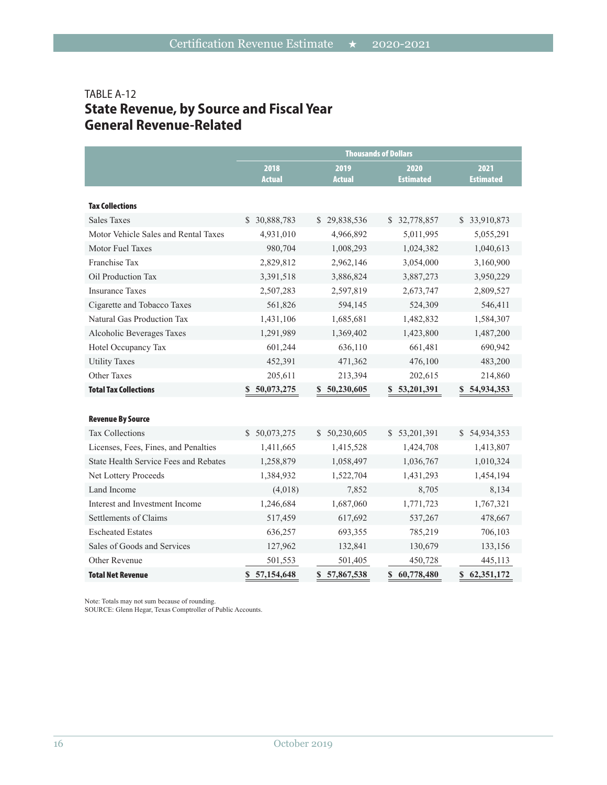# TABLE A-12 **State Revenue, by Source and Fiscal Year General Revenue-Related**

|                                              | <b>Thousands of Dollars</b> |                            |                  |                  |  |
|----------------------------------------------|-----------------------------|----------------------------|------------------|------------------|--|
|                                              | 2018                        | 2019                       | 2020             | 2021             |  |
|                                              | <b>Actual</b>               | <b>Actual</b>              | <b>Estimated</b> | <b>Estimated</b> |  |
| <b>Tax Collections</b>                       |                             |                            |                  |                  |  |
| <b>Sales Taxes</b>                           | \$ 30,888,783               | 29,838,536<br><sup>S</sup> | \$ 32,778,857    | \$33,910,873     |  |
| Motor Vehicle Sales and Rental Taxes         | 4,931,010                   | 4,966,892                  | 5,011,995        | 5,055,291        |  |
| Motor Fuel Taxes                             | 980,704                     | 1,008,293                  | 1,024,382        | 1,040,613        |  |
| Franchise Tax                                | 2,829,812                   | 2,962,146                  | 3,054,000        | 3,160,900        |  |
| Oil Production Tax                           | 3,391,518                   | 3,886,824                  | 3,887,273        | 3,950,229        |  |
| <b>Insurance Taxes</b>                       | 2,507,283                   | 2,597,819                  | 2,673,747        | 2,809,527        |  |
| Cigarette and Tobacco Taxes                  | 561,826                     | 594,145                    | 524,309          | 546,411          |  |
| Natural Gas Production Tax                   | 1,431,106                   | 1,685,681                  | 1,482,832        | 1,584,307        |  |
| Alcoholic Beverages Taxes                    | 1,291,989                   | 1,369,402                  | 1,423,800        | 1,487,200        |  |
| Hotel Occupancy Tax                          | 601,244                     | 636,110                    | 661,481          | 690,942          |  |
| <b>Utility Taxes</b>                         | 452,391                     | 471,362                    | 476,100          | 483,200          |  |
| Other Taxes                                  | 205,611                     | 213,394                    | 202,615          | 214,860          |  |
| <b>Total Tax Collections</b>                 | 50,073,275<br>S             | 50,230,605<br>S.           | 53,201,391<br>S  | \$54,934,353     |  |
|                                              |                             |                            |                  |                  |  |
| <b>Revenue By Source</b>                     |                             |                            |                  |                  |  |
| <b>Tax Collections</b>                       | \$ 50,073,275               | \$50,230,605               | \$53,201,391     | \$54,934,353     |  |
| Licenses, Fees, Fines, and Penalties         | 1,411,665                   | 1,415,528                  | 1,424,708        | 1,413,807        |  |
| <b>State Health Service Fees and Rebates</b> | 1,258,879                   | 1,058,497                  | 1,036,767        | 1,010,324        |  |
| Net Lottery Proceeds                         | 1,384,932                   | 1,522,704                  | 1,431,293        | 1,454,194        |  |
| Land Income                                  | (4,018)                     | 7,852                      | 8,705            | 8,134            |  |
| Interest and Investment Income               | 1,246,684                   | 1,687,060                  | 1,771,723        | 1,767,321        |  |
| Settlements of Claims                        | 517,459                     | 617,692                    | 537,267          | 478,667          |  |
| <b>Escheated Estates</b>                     | 636,257                     | 693,355                    | 785,219          | 706,103          |  |
| Sales of Goods and Services                  | 127,962                     | 132,841                    | 130,679          | 133,156          |  |
| Other Revenue                                | 501,553                     | 501,405                    | 450,728          | 445,113          |  |
| <b>Total Net Revenue</b>                     | 57,154,648<br>\$            | \$57,867,538               | 60,778,480<br>\$ | \$62,351,172     |  |

Note: Totals may not sum because of rounding.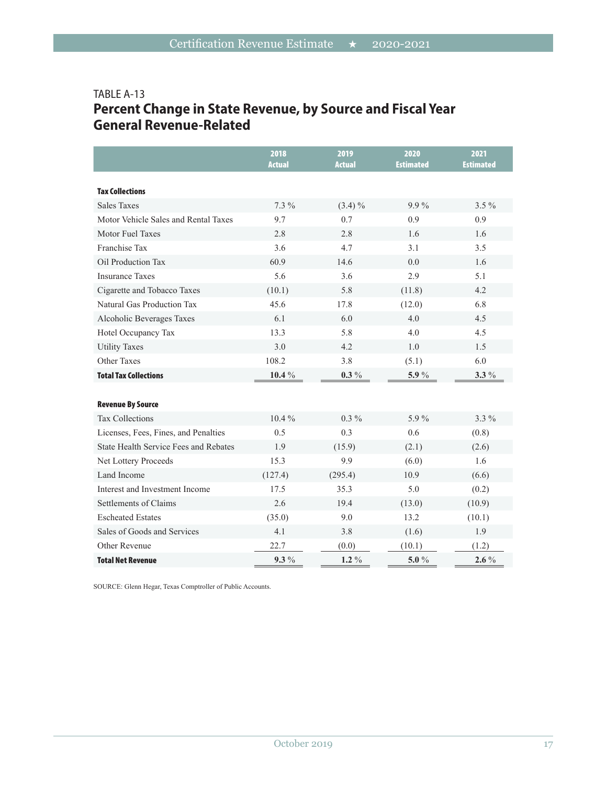# TABLE A-13 **Percent Change in State Revenue, by Source and Fiscal Year General Revenue-Related**

|                                              | 2018<br><b>Actual</b> | 2019<br><b>Actual</b> | 2020<br><b>Estimated</b> | 2021<br><b>Estimated</b> |
|----------------------------------------------|-----------------------|-----------------------|--------------------------|--------------------------|
| <b>Tax Collections</b>                       |                       |                       |                          |                          |
| <b>Sales Taxes</b>                           | $7.3\%$               | $(3.4)\%$             | $9.9\%$                  | $3.5\%$                  |
| Motor Vehicle Sales and Rental Taxes         | 9.7                   | 0.7                   | 0.9                      | 0.9                      |
| Motor Fuel Taxes                             | 2.8                   | 2.8                   | 1.6                      | 1.6                      |
| Franchise Tax                                | 3.6                   | 4.7                   | 3.1                      | 3.5                      |
| Oil Production Tax                           | 60.9                  | 14.6                  | 0.0                      | 1.6                      |
| <b>Insurance Taxes</b>                       | 5.6                   | 3.6                   | 2.9                      | 5.1                      |
| Cigarette and Tobacco Taxes                  | (10.1)                | 5.8                   | (11.8)                   | 4.2                      |
| Natural Gas Production Tax                   | 45.6                  | 17.8                  | (12.0)                   | 6.8                      |
| Alcoholic Beverages Taxes                    | 6.1                   | 6.0                   | 4.0                      | 4.5                      |
| Hotel Occupancy Tax                          | 13.3                  | 5.8                   | 4.0                      | 4.5                      |
| <b>Utility Taxes</b>                         | 3.0                   | 4.2                   | 1.0                      | 1.5                      |
| Other Taxes                                  | 108.2                 | 3.8                   | (5.1)                    | 6.0                      |
| <b>Total Tax Collections</b>                 | $10.4 \%$             | $0.3\%$               | $5.9\,\%$                | $3.3\%$                  |
|                                              |                       |                       |                          |                          |
| <b>Revenue By Source</b>                     |                       |                       |                          |                          |
| <b>Tax Collections</b>                       | 10.4%                 | $0.3\%$               | 5.9%                     | 3.3 %                    |
| Licenses, Fees, Fines, and Penalties         | 0.5                   | 0.3                   | 0.6                      | (0.8)                    |
| <b>State Health Service Fees and Rebates</b> | 1.9                   | (15.9)                | (2.1)                    | (2.6)                    |
| Net Lottery Proceeds                         | 15.3                  | 9.9                   | (6.0)                    | 1.6                      |
| Land Income                                  | (127.4)               | (295.4)               | 10.9                     | (6.6)                    |
| Interest and Investment Income               | 17.5                  | 35.3                  | 5.0                      | (0.2)                    |
| Settlements of Claims                        | 2.6                   | 19.4                  | (13.0)                   | (10.9)                   |
| <b>Escheated Estates</b>                     | (35.0)                | 9.0                   | 13.2                     | (10.1)                   |
| Sales of Goods and Services                  | 4.1                   | 3.8                   | (1.6)                    | 1.9                      |
| Other Revenue                                | 22.7                  | (0.0)                 | (10.1)                   | (1.2)                    |
| <b>Total Net Revenue</b>                     | $9.3\%$               | $1.2\%$               | 5.0 $%$                  | $2.6\%$                  |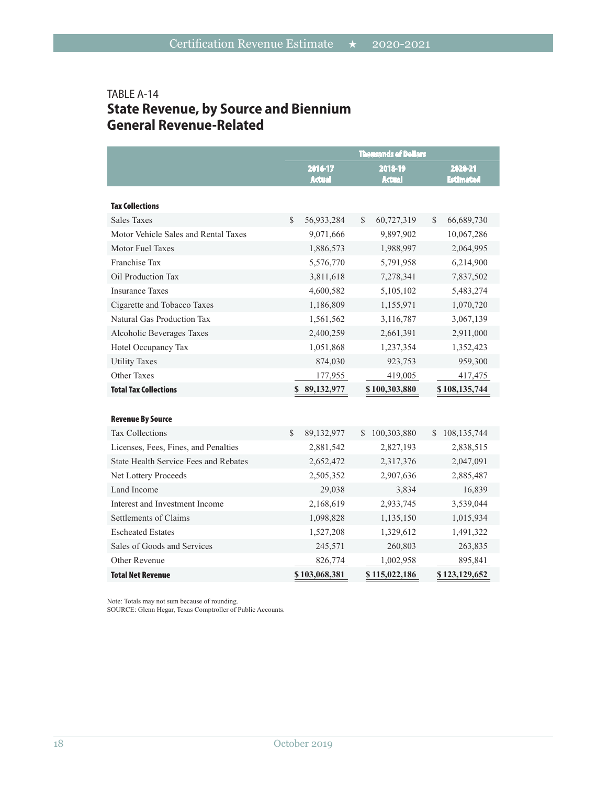# TABLE A-14 **State Revenue, by Source and Biennium General Revenue-Related**

|                                                                               |               |                          |               | <b>Thousands of Dollars</b> |    |                             |
|-------------------------------------------------------------------------------|---------------|--------------------------|---------------|-----------------------------|----|-----------------------------|
|                                                                               |               | 2016-17<br><b>Actual</b> |               | 2018-19<br><b>Actual</b>    |    | 2020-21<br><b>Estimated</b> |
| <b>Tax Collections</b>                                                        |               |                          |               |                             |    |                             |
| <b>Sales Taxes</b>                                                            | $\mathcal{S}$ | 56,933,284               | $\mathcal{S}$ | 60,727,319                  | \$ | 66,689,730                  |
| Motor Vehicle Sales and Rental Taxes                                          |               | 9,071,666                |               | 9,897,902                   |    | 10,067,286                  |
| Motor Fuel Taxes                                                              |               | 1,886,573                |               | 1,988,997                   |    | 2,064,995                   |
| Franchise Tax                                                                 |               | 5,576,770                |               | 5,791,958                   |    | 6,214,900                   |
| Oil Production Tax                                                            |               | 3,811,618                |               | 7,278,341                   |    | 7,837,502                   |
| <b>Insurance Taxes</b>                                                        |               | 4,600,582                |               | 5,105,102                   |    | 5,483,274                   |
| Cigarette and Tobacco Taxes                                                   |               | 1,186,809                |               | 1,155,971                   |    | 1,070,720                   |
| Natural Gas Production Tax                                                    |               | 1,561,562                |               | 3,116,787                   |    | 3,067,139                   |
| Alcoholic Beverages Taxes                                                     |               | 2,400,259                |               | 2,661,391                   |    | 2,911,000                   |
| Hotel Occupancy Tax                                                           |               | 1,051,868                |               | 1,237,354                   |    | 1,352,423                   |
| <b>Utility Taxes</b>                                                          |               | 874,030                  |               | 923,753                     |    | 959,300                     |
| Other Taxes                                                                   |               | 177,955                  |               | 419,005                     |    | 417,475                     |
| <b>Total Tax Collections</b>                                                  |               | 89,132,977               |               | \$100,303,880               |    | \$108,135,744               |
|                                                                               |               |                          |               |                             |    |                             |
| <b>Revenue By Source</b><br><b>Tax Collections</b>                            | $\mathcal{S}$ | 89,132,977               | $\mathbb{S}$  | 100,303,880                 |    |                             |
|                                                                               |               |                          |               |                             | S. | 108, 135, 744               |
| Licenses, Fees, Fines, and Penalties<br>State Health Service Fees and Rebates |               | 2,881,542                |               | 2,827,193                   |    | 2,838,515                   |
|                                                                               |               | 2,652,472                |               | 2,317,376                   |    | 2,047,091                   |
| Net Lottery Proceeds<br>Land Income                                           |               | 2,505,352                |               | 2,907,636                   |    | 2,885,487                   |
|                                                                               |               | 29,038                   |               | 3,834                       |    | 16,839                      |
| Interest and Investment Income                                                |               | 2,168,619                |               | 2,933,745                   |    | 3,539,044                   |
| Settlements of Claims                                                         |               | 1,098,828                |               | 1,135,150                   |    | 1,015,934                   |
| <b>Escheated Estates</b>                                                      |               | 1,527,208                |               | 1,329,612                   |    | 1,491,322                   |
| Sales of Goods and Services                                                   |               | 245,571                  |               | 260,803                     |    | 263,835                     |
| Other Revenue                                                                 |               | 826,774                  |               | 1,002,958                   |    | 895,841                     |
| <b>Total Net Revenue</b>                                                      |               | \$103,068,381            |               | \$115,022,186               |    | \$123,129,652               |

Note: Totals may not sum because of rounding.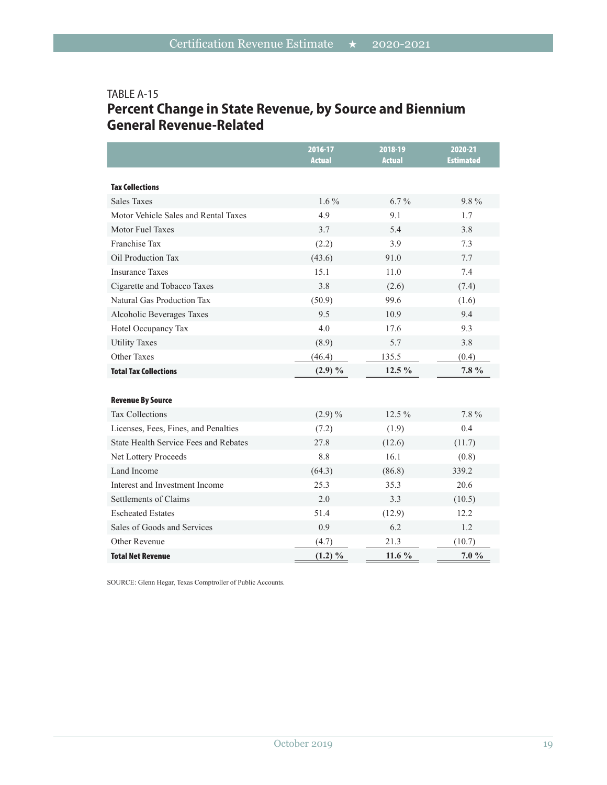# TABLE A-15 **Percent Change in State Revenue, by Source and Biennium General Revenue-Related**

|                                              | 2016-17<br><b>Actual</b> | 2018-19<br><b>Actual</b> | 2020-21<br><b>Estimated</b> |
|----------------------------------------------|--------------------------|--------------------------|-----------------------------|
| <b>Tax Collections</b>                       |                          |                          |                             |
| <b>Sales Taxes</b>                           | $1.6\%$                  | $6.7\%$                  | 9.8%                        |
| Motor Vehicle Sales and Rental Taxes         | 4.9                      | 9.1                      | 1.7                         |
| Motor Fuel Taxes                             | 3.7                      | 5.4                      | 3.8                         |
| Franchise Tax                                | (2.2)                    | 3.9                      | 7.3                         |
| Oil Production Tax                           | (43.6)                   | 91.0                     | 7.7                         |
| <b>Insurance Taxes</b>                       | 15.1                     | 11.0                     | 7.4                         |
| Cigarette and Tobacco Taxes                  | 3.8                      | (2.6)                    | (7.4)                       |
| Natural Gas Production Tax                   | (50.9)                   | 99.6                     | (1.6)                       |
| Alcoholic Beverages Taxes                    | 9.5                      | 10.9                     | 9.4                         |
| Hotel Occupancy Tax                          | 4.0                      | 17.6                     | 9.3                         |
| <b>Utility Taxes</b>                         | (8.9)                    | 5.7                      | 3.8                         |
| Other Taxes                                  | (46.4)                   | 135.5                    | (0.4)                       |
| <b>Total Tax Collections</b>                 | $(2.9) \%$               | 12.5 %                   | 7.8 %                       |
|                                              |                          |                          |                             |
| <b>Revenue By Source</b>                     |                          |                          |                             |
| <b>Tax Collections</b>                       | $(2.9)\%$                | 12.5 %                   | 7.8%                        |
| Licenses, Fees, Fines, and Penalties         | (7.2)                    | (1.9)                    | 0.4                         |
| <b>State Health Service Fees and Rebates</b> | 27.8                     | (12.6)                   | (11.7)                      |
| Net Lottery Proceeds                         | 8.8                      | 16.1                     | (0.8)                       |
| Land Income                                  | (64.3)                   | (86.8)                   | 339.2                       |
| Interest and Investment Income               | 25.3                     | 35.3                     | 20.6                        |
| Settlements of Claims                        | 2.0                      | 3.3                      | (10.5)                      |
| <b>Escheated Estates</b>                     | 51.4                     | (12.9)                   | 12.2                        |
| Sales of Goods and Services                  | 0.9                      | 6.2                      | 1.2                         |
| Other Revenue                                | (4.7)                    | 21.3                     | (10.7)                      |
| <b>Total Net Revenue</b>                     | $(1.2) \%$               | 11.6 $%$                 | 7.0 %                       |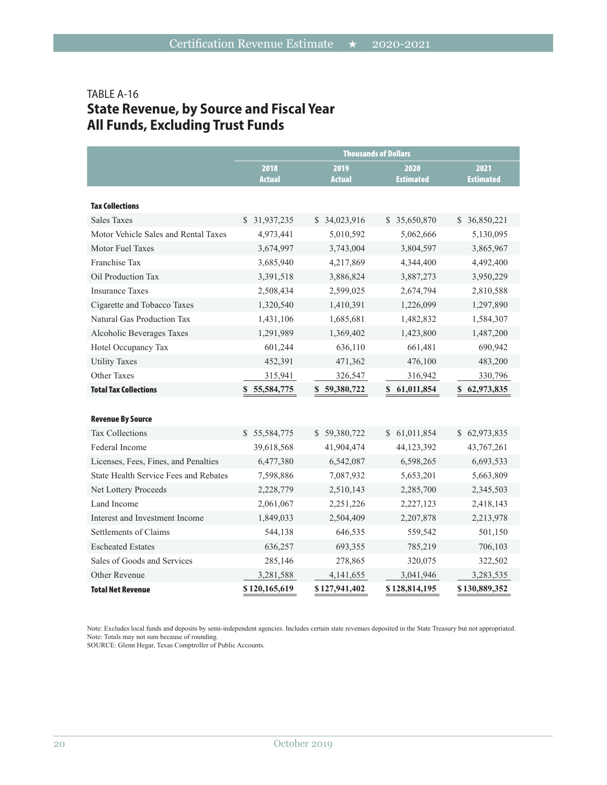# TABLE A-16 **State Revenue, by Source and Fiscal Year All Funds, Excluding Trust Funds**

|                                       | <b>Thousands of Dollars</b> |                       |                            |                          |  |
|---------------------------------------|-----------------------------|-----------------------|----------------------------|--------------------------|--|
|                                       | 2018<br><b>Actual</b>       | 2019<br><b>Actual</b> | 2020<br><b>Estimated</b>   | 2021<br><b>Estimated</b> |  |
| <b>Tax Collections</b>                |                             |                       |                            |                          |  |
| <b>Sales Taxes</b>                    | \$31,937,235                | \$ 34,023,916         | \$ 35,650,870              | \$ 36,850,221            |  |
| Motor Vehicle Sales and Rental Taxes  | 4,973,441                   | 5,010,592             | 5,062,666                  | 5,130,095                |  |
| Motor Fuel Taxes                      | 3,674,997                   | 3,743,004             | 3,804,597                  | 3,865,967                |  |
| Franchise Tax                         | 3,685,940                   | 4,217,869             | 4,344,400                  | 4,492,400                |  |
| Oil Production Tax                    | 3,391,518                   | 3,886,824             | 3,887,273                  | 3,950,229                |  |
| <b>Insurance Taxes</b>                | 2,508,434                   | 2,599,025             | 2,674,794                  | 2,810,588                |  |
| Cigarette and Tobacco Taxes           | 1,320,540                   | 1,410,391             | 1,226,099                  | 1,297,890                |  |
| Natural Gas Production Tax            | 1,431,106                   | 1,685,681             | 1,482,832                  | 1,584,307                |  |
| Alcoholic Beverages Taxes             | 1,291,989                   | 1,369,402             | 1,423,800                  | 1,487,200                |  |
| Hotel Occupancy Tax                   | 601,244                     | 636,110               | 661,481                    | 690,942                  |  |
| <b>Utility Taxes</b>                  | 452,391                     | 471,362               | 476,100                    | 483,200                  |  |
| Other Taxes                           | 315,941                     | 326,547               | 316,942                    | 330,796                  |  |
| <b>Total Tax Collections</b>          | $\mathbf{s}$<br>55,584,775  | 59,380,722<br>S.      | \$ 61,011,854              | \$<br>62,973,835         |  |
|                                       |                             |                       |                            |                          |  |
| <b>Revenue By Source</b>              |                             |                       |                            |                          |  |
| <b>Tax Collections</b>                | S.<br>55,584,775            | \$59,380,722          | 61,011,854<br><sup>S</sup> | \$62,973,835             |  |
| Federal Income                        | 39,618,568                  | 41,904,474            | 44,123,392                 | 43,767,261               |  |
| Licenses, Fees, Fines, and Penalties  | 6,477,380                   | 6,542,087             | 6,598,265                  | 6,693,533                |  |
| State Health Service Fees and Rebates | 7,598,886                   | 7,087,932             | 5,653,201                  | 5,663,809                |  |
| Net Lottery Proceeds                  | 2,228,779                   | 2,510,143             | 2,285,700                  | 2,345,503                |  |
| Land Income                           | 2,061,067                   | 2,251,226             | 2,227,123                  | 2,418,143                |  |
| Interest and Investment Income        | 1,849,033                   | 2,504,409             | 2,207,878                  | 2,213,978                |  |
| Settlements of Claims                 | 544,138                     | 646,535               | 559,542                    | 501,150                  |  |
| <b>Escheated Estates</b>              | 636,257                     | 693,355               | 785,219                    | 706,103                  |  |
| Sales of Goods and Services           | 285,146                     | 278,865               | 320,075                    | 322,502                  |  |
| Other Revenue                         | 3,281,588                   | 4, 141, 655           | 3,041,946                  | 3,283,535                |  |
| <b>Total Net Revenue</b>              | \$120,165,619               | \$127,941,402         | \$128,814,195              | \$130,889,352            |  |

Note: Excludes local funds and deposits by semi-independent agencies. Includes certain state revenues deposited in the State Treasury but not appropriated. Note: Totals may not sum because of rounding.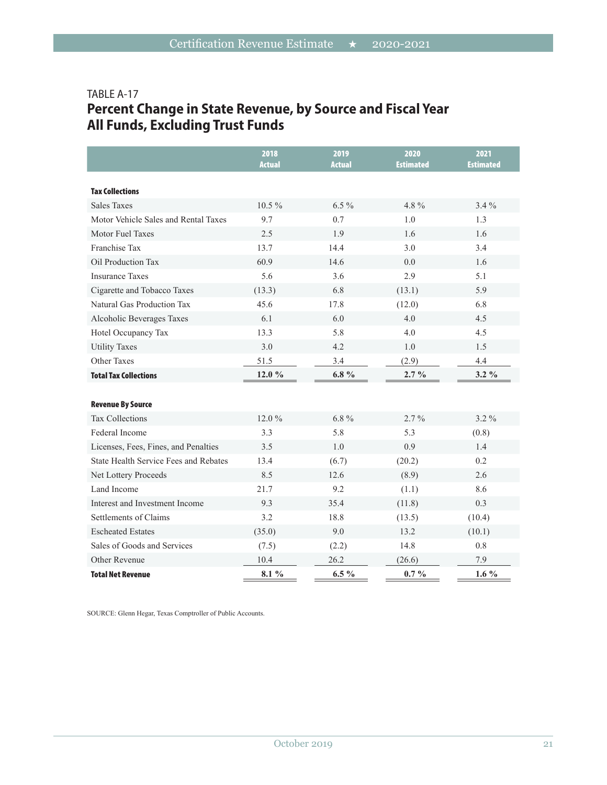# TABLE A-17 **Percent Change in State Revenue, by Source and Fiscal Year All Funds, Excluding Trust Funds**

|                                       | 2018<br><b>Actual</b> | 2019<br><b>Actual</b> | 2020<br><b>Estimated</b> | 2021<br><b>Estimated</b> |
|---------------------------------------|-----------------------|-----------------------|--------------------------|--------------------------|
|                                       |                       |                       |                          |                          |
| <b>Tax Collections</b>                |                       |                       |                          |                          |
| <b>Sales Taxes</b>                    | $10.5\%$              | $6.5\%$               | $4.8\%$                  | $3.4\%$                  |
| Motor Vehicle Sales and Rental Taxes  | 9.7                   | 0.7                   | 1.0                      | 1.3                      |
| Motor Fuel Taxes                      | 2.5                   | 1.9                   | 1.6                      | 1.6                      |
| Franchise Tax                         | 13.7                  | 14.4                  | 3.0                      | 3.4                      |
| Oil Production Tax                    | 60.9                  | 14.6                  | 0.0                      | 1.6                      |
| <b>Insurance Taxes</b>                | 5.6                   | 3.6                   | 2.9                      | 5.1                      |
| Cigarette and Tobacco Taxes           | (13.3)                | 6.8                   | (13.1)                   | 5.9                      |
| Natural Gas Production Tax            | 45.6                  | 17.8                  | (12.0)                   | 6.8                      |
| Alcoholic Beverages Taxes             | 6.1                   | 6.0                   | 4.0                      | 4.5                      |
| Hotel Occupancy Tax                   | 13.3                  | 5.8                   | 4.0                      | 4.5                      |
| <b>Utility Taxes</b>                  | 3.0                   | 4.2                   | 1.0                      | 1.5                      |
| Other Taxes                           | 51.5                  | 3.4                   | (2.9)                    | 4.4                      |
| <b>Total Tax Collections</b>          | 12.0 %                | $6.8\%$               | $2.7\%$                  | $3.2\%$                  |
|                                       |                       |                       |                          |                          |
| <b>Revenue By Source</b>              |                       |                       |                          |                          |
| <b>Tax Collections</b>                | 12.0%                 | $6.8\%$               | $2.7\%$                  | 3.2 %                    |
| Federal Income                        | 3.3                   | 5.8                   | 5.3                      | (0.8)                    |
| Licenses, Fees, Fines, and Penalties  | 3.5                   | 1.0                   | 0.9                      | 1.4                      |
| State Health Service Fees and Rebates | 13.4                  | (6.7)                 | (20.2)                   | 0.2                      |
| Net Lottery Proceeds                  | 8.5                   | 12.6                  | (8.9)                    | 2.6                      |
| Land Income                           | 21.7                  | 9.2                   | (1.1)                    | 8.6                      |
| Interest and Investment Income        | 9.3                   | 35.4                  | (11.8)                   | 0.3                      |
| Settlements of Claims                 | 3.2                   | 18.8                  | (13.5)                   | (10.4)                   |
| <b>Escheated Estates</b>              | (35.0)                | 9.0                   | 13.2                     | (10.1)                   |
| Sales of Goods and Services           | (7.5)                 | (2.2)                 | 14.8                     | 0.8                      |
| Other Revenue                         | 10.4                  | 26.2                  | (26.6)                   | 7.9                      |
| <b>Total Net Revenue</b>              | $8.1\%$               | $6.5\%$               | $0.7\%$                  | $1.6\%$                  |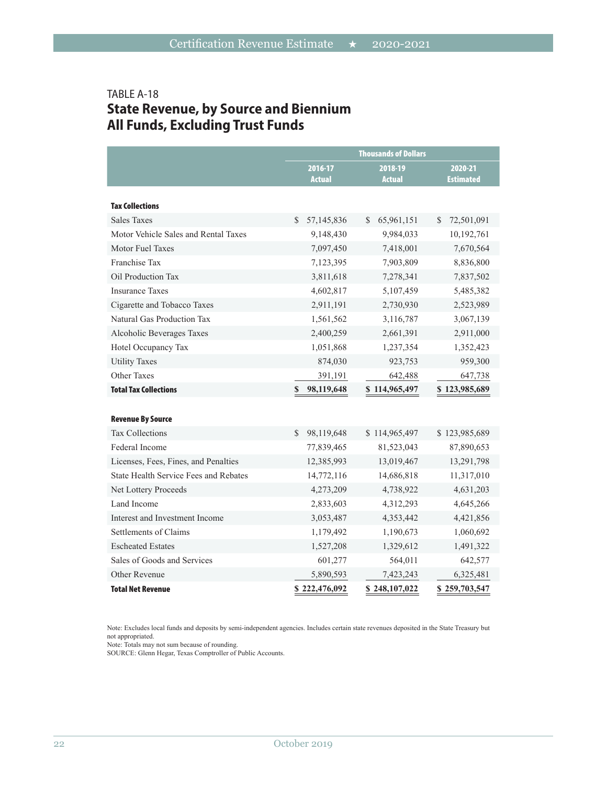# TABLE A-18 **State Revenue, by Source and Biennium All Funds, Excluding Trust Funds**

|                                              |                           | <b>Thousands of Dollars</b> |                             |
|----------------------------------------------|---------------------------|-----------------------------|-----------------------------|
|                                              | 2016-17<br><b>Actual</b>  | 2018-19<br><b>Actual</b>    | 2020-21<br><b>Estimated</b> |
| <b>Tax Collections</b>                       |                           |                             |                             |
| <b>Sales Taxes</b>                           | \$.<br>57,145,836         | \$<br>65,961,151            | \$<br>72,501,091            |
| Motor Vehicle Sales and Rental Taxes         | 9,148,430                 | 9,984,033                   | 10,192,761                  |
| Motor Fuel Taxes                             | 7,097,450                 | 7,418,001                   | 7,670,564                   |
| Franchise Tax                                | 7,123,395                 | 7,903,809                   | 8,836,800                   |
| Oil Production Tax                           | 3,811,618                 | 7,278,341                   | 7,837,502                   |
| <b>Insurance Taxes</b>                       | 4,602,817                 | 5,107,459                   | 5,485,382                   |
| Cigarette and Tobacco Taxes                  | 2,911,191                 | 2,730,930                   | 2,523,989                   |
| Natural Gas Production Tax                   | 1,561,562                 | 3,116,787                   | 3,067,139                   |
| Alcoholic Beverages Taxes                    | 2,400,259                 | 2,661,391                   | 2,911,000                   |
| Hotel Occupancy Tax                          | 1,051,868                 | 1,237,354                   | 1,352,423                   |
| <b>Utility Taxes</b>                         | 874,030                   | 923,753                     | 959,300                     |
| <b>Other Taxes</b>                           | 391,191                   | 642,488                     | 647,738                     |
| <b>Total Tax Collections</b>                 | $\mathbf S$<br>98,119,648 | \$114,965,497               | \$123,985,689               |
|                                              |                           |                             |                             |
| <b>Revenue By Source</b>                     |                           |                             |                             |
| <b>Tax Collections</b>                       | \$<br>98,119,648          | \$114,965,497               | \$123,985,689               |
| Federal Income                               | 77,839,465                | 81,523,043                  | 87,890,653                  |
| Licenses, Fees, Fines, and Penalties         | 12,385,993                | 13,019,467                  | 13,291,798                  |
| <b>State Health Service Fees and Rebates</b> | 14,772,116                | 14,686,818                  | 11,317,010                  |
| Net Lottery Proceeds                         | 4,273,209                 | 4,738,922                   | 4,631,203                   |
| Land Income                                  | 2,833,603                 | 4,312,293                   | 4,645,266                   |
| Interest and Investment Income               | 3,053,487                 | 4,353,442                   | 4,421,856                   |
| Settlements of Claims                        | 1,179,492                 | 1,190,673                   | 1,060,692                   |
| <b>Escheated Estates</b>                     | 1,527,208                 | 1,329,612                   | 1,491,322                   |
| Sales of Goods and Services                  | 601,277                   | 564,011                     | 642,577                     |
| Other Revenue                                | 5,890,593                 | 7,423,243                   | 6,325,481                   |
| <b>Total Net Revenue</b>                     | \$222,476,092             | \$248,107,022               | \$259,703,547               |

Note: Excludes local funds and deposits by semi-independent agencies. Includes certain state revenues deposited in the State Treasury but not appropriated.

Note: Totals may not sum because of rounding.